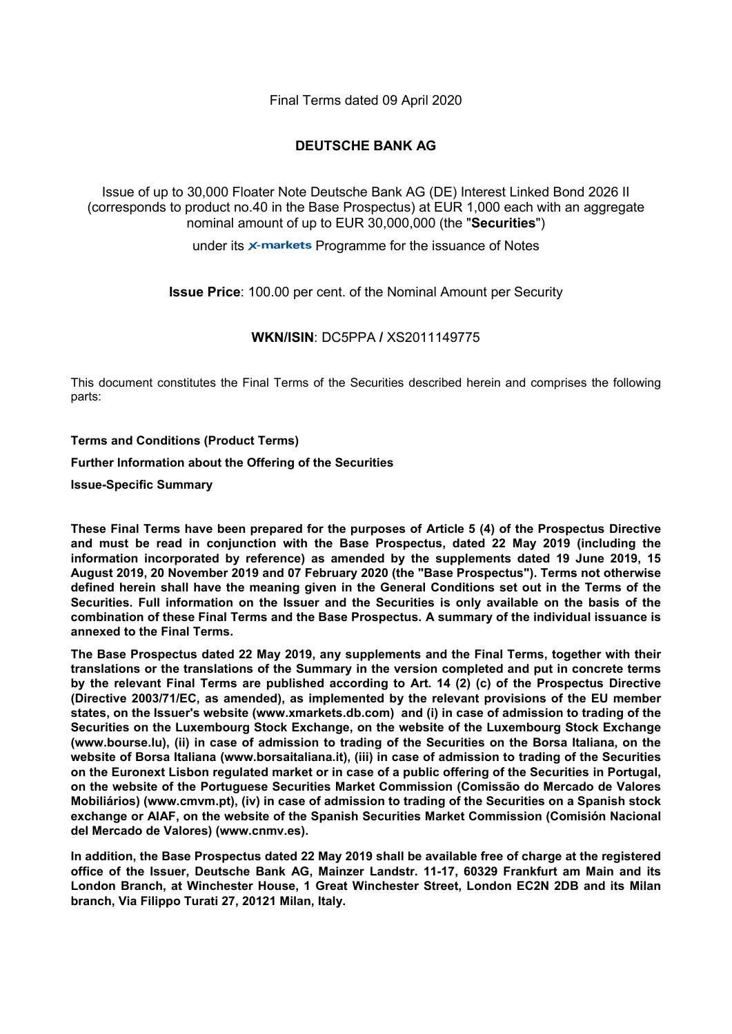Final Terms dated 09 April 2020

### **DEUTSCHE BANK AG**

Issue of up to 30,000 Floater Note Deutsche Bank AG (DE) Interest Linked Bond 2026 II (corresponds to product no.40 in the Base Prospectus) at EUR 1,000 each with an aggregate nominal amount of up to EUR 30,000,000 (the "**Securities**")

under its  $\times$ -markets Programme for the issuance of Notes

**Issue Price**: 100.00 per cent. of the Nominal Amount per Security

#### **WKN/ISIN**: DC5PPA **/** XS2011149775

This document constitutes the Final Terms of the Securities described herein and comprises the following parts:

**Terms and Conditions (Product Terms)**

**Further Information about the Offering of the Securities**

**Issue-Specific Summary**

**These Final Terms have been prepared for the purposes of Article 5 (4) of the Prospectus Directive and must be read in conjunction with the Base Prospectus, dated 22 May 2019 (including the information incorporated by reference) as amended by the supplements dated 19 June 2019, 15 August 2019, 20 November 2019 and 07 February 2020 (the "Base Prospectus"). Terms not otherwise defined herein shall have the meaning given in the General Conditions set out in the Terms of the Securities. Full information on the Issuer and the Securities is only available on the basis of the combination of these Final Terms and the Base Prospectus. A summary of the individual issuance is annexed to the Final Terms.**

**The Base Prospectus dated 22 May 2019, any supplements and the Final Terms, together with their translations or the translations of the Summary in the version completed and put in concrete terms by the relevant Final Terms are published according to Art. 14 (2) (c) of the Prospectus Directive (Directive 2003/71/EC, as amended), as implemented by the relevant provisions of the EU member states, on the Issuer's website (www.xmarkets.db.com) and (i) in case of admission to trading of the Securities on the Luxembourg Stock Exchange, on the website of the Luxembourg Stock Exchange (www.bourse.lu), (ii) in case of admission to trading of the Securities on the Borsa Italiana, on the website of Borsa Italiana (www.borsaitaliana.it), (iii) in case of admission to trading of the Securities on the Euronext Lisbon regulated market or in case of a public offering of the Securities in Portugal, on the website of the Portuguese Securities Market Commission (Comissão do Mercado de Valores Mobiliários) (www.cmvm.pt), (iv) in case of admission to trading of the Securities on a Spanish stock exchange or AIAF, on the website of the Spanish Securities Market Commission (Comisión Nacional del Mercado de Valores) (www.cnmv.es).**

**In addition, the Base Prospectus dated 22 May 2019 shall be available free of charge at the registered office of the Issuer, Deutsche Bank AG, Mainzer Landstr. 11-17, 60329 Frankfurt am Main and its London Branch, at Winchester House, 1 Great Winchester Street, London EC2N 2DB and its Milan branch, Via Filippo Turati 27, 20121 Milan, Italy.**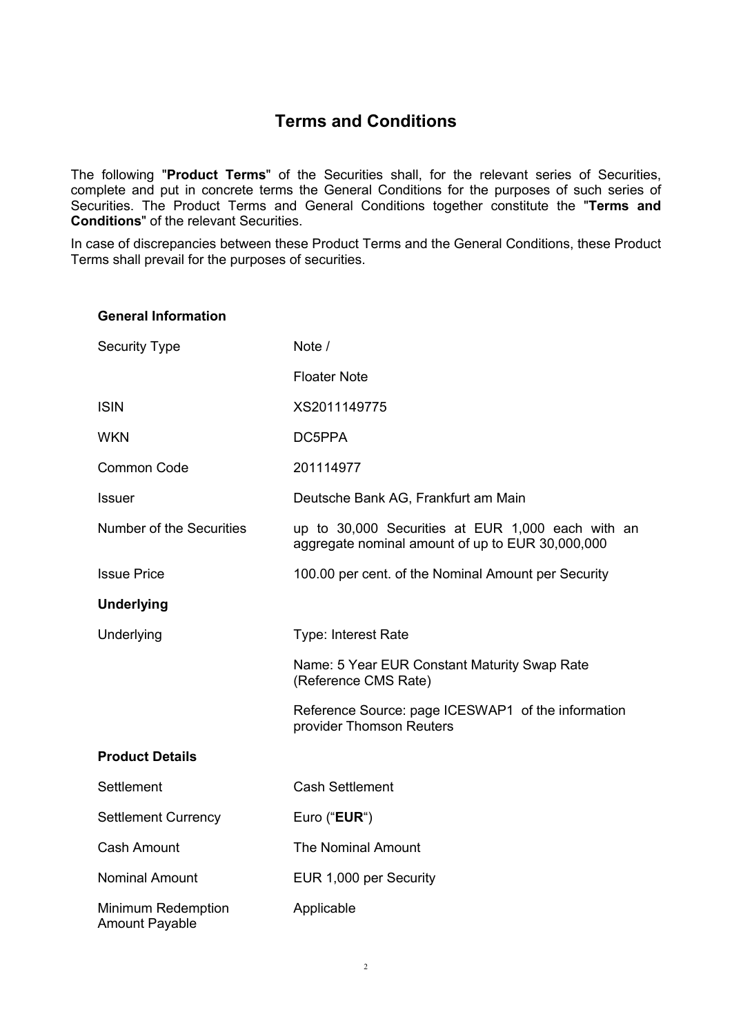## **Terms and Conditions**

The following "**Product Terms**" of the Securities shall, for the relevant series of Securities, complete and put in concrete terms the General Conditions for the purposes of such series of Securities. The Product Terms and General Conditions together constitute the "**Terms and Conditions**" of the relevant Securities.

In case of discrepancies between these Product Terms and the General Conditions, these Product Terms shall prevail for the purposes of securities.

### **General Information**

| <b>Security Type</b>                               | Note /                                                                                                |
|----------------------------------------------------|-------------------------------------------------------------------------------------------------------|
|                                                    | <b>Floater Note</b>                                                                                   |
| <b>ISIN</b>                                        | XS2011149775                                                                                          |
| <b>WKN</b>                                         | DC5PPA                                                                                                |
| <b>Common Code</b>                                 | 201114977                                                                                             |
| <b>Issuer</b>                                      | Deutsche Bank AG, Frankfurt am Main                                                                   |
| <b>Number of the Securities</b>                    | up to 30,000 Securities at EUR 1,000 each with an<br>aggregate nominal amount of up to EUR 30,000,000 |
| <b>Issue Price</b>                                 | 100.00 per cent. of the Nominal Amount per Security                                                   |
| <b>Underlying</b>                                  |                                                                                                       |
| Underlying                                         | <b>Type: Interest Rate</b>                                                                            |
|                                                    | Name: 5 Year EUR Constant Maturity Swap Rate<br>(Reference CMS Rate)                                  |
|                                                    | Reference Source: page ICESWAP1 of the information<br>provider Thomson Reuters                        |
| <b>Product Details</b>                             |                                                                                                       |
| Settlement                                         | <b>Cash Settlement</b>                                                                                |
| <b>Settlement Currency</b>                         | Euro (" <b>EUR</b> ")                                                                                 |
| <b>Cash Amount</b>                                 | <b>The Nominal Amount</b>                                                                             |
| <b>Nominal Amount</b>                              | EUR 1,000 per Security                                                                                |
| <b>Minimum Redemption</b><br><b>Amount Payable</b> | Applicable                                                                                            |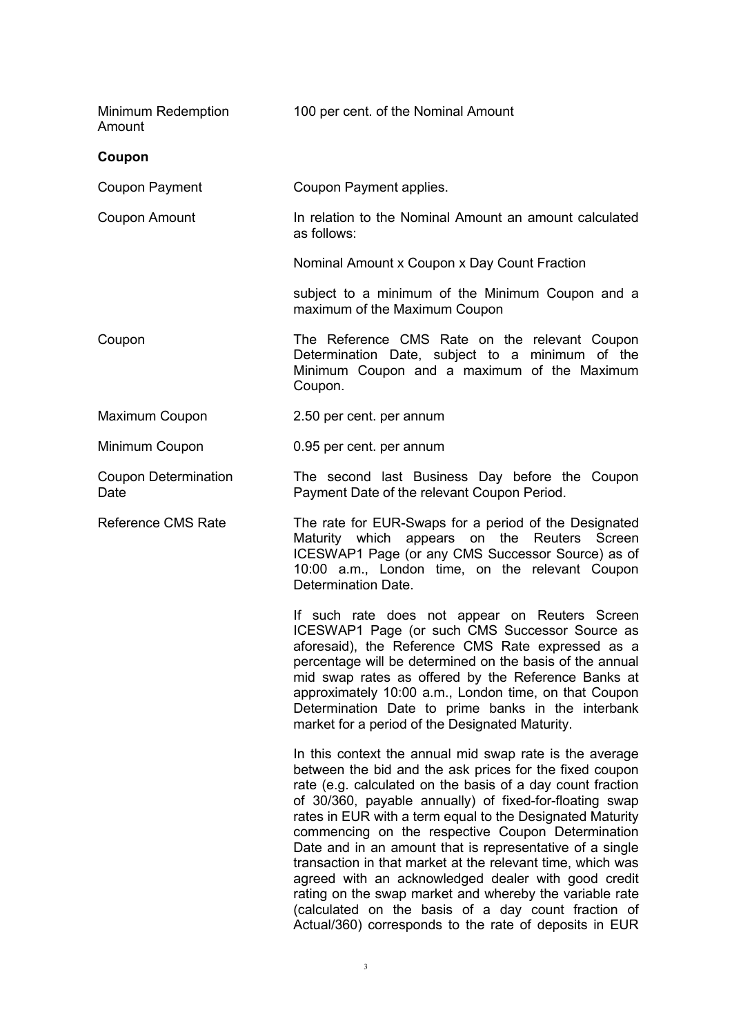| Minimum Redemption<br>Amount        | 100 per cent. of the Nominal Amount                                                                                                                                                                                                                                                                                                                                                                                                                                                                                                                                                                                                                                                                                        |
|-------------------------------------|----------------------------------------------------------------------------------------------------------------------------------------------------------------------------------------------------------------------------------------------------------------------------------------------------------------------------------------------------------------------------------------------------------------------------------------------------------------------------------------------------------------------------------------------------------------------------------------------------------------------------------------------------------------------------------------------------------------------------|
| Coupon                              |                                                                                                                                                                                                                                                                                                                                                                                                                                                                                                                                                                                                                                                                                                                            |
| <b>Coupon Payment</b>               | Coupon Payment applies.                                                                                                                                                                                                                                                                                                                                                                                                                                                                                                                                                                                                                                                                                                    |
| <b>Coupon Amount</b>                | In relation to the Nominal Amount an amount calculated<br>as follows:                                                                                                                                                                                                                                                                                                                                                                                                                                                                                                                                                                                                                                                      |
|                                     | Nominal Amount x Coupon x Day Count Fraction                                                                                                                                                                                                                                                                                                                                                                                                                                                                                                                                                                                                                                                                               |
|                                     | subject to a minimum of the Minimum Coupon and a<br>maximum of the Maximum Coupon                                                                                                                                                                                                                                                                                                                                                                                                                                                                                                                                                                                                                                          |
| Coupon                              | The Reference CMS Rate on the relevant Coupon<br>Determination Date, subject to a minimum of the<br>Minimum Coupon and a maximum of the Maximum<br>Coupon.                                                                                                                                                                                                                                                                                                                                                                                                                                                                                                                                                                 |
| Maximum Coupon                      | 2.50 per cent. per annum                                                                                                                                                                                                                                                                                                                                                                                                                                                                                                                                                                                                                                                                                                   |
| Minimum Coupon                      | 0.95 per cent. per annum                                                                                                                                                                                                                                                                                                                                                                                                                                                                                                                                                                                                                                                                                                   |
| <b>Coupon Determination</b><br>Date | The second last Business Day before the Coupon<br>Payment Date of the relevant Coupon Period.                                                                                                                                                                                                                                                                                                                                                                                                                                                                                                                                                                                                                              |
| <b>Reference CMS Rate</b>           | The rate for EUR-Swaps for a period of the Designated<br>Maturity which appears on the Reuters Screen<br>ICESWAP1 Page (or any CMS Successor Source) as of<br>10:00 a.m., London time, on the relevant Coupon<br>Determination Date.                                                                                                                                                                                                                                                                                                                                                                                                                                                                                       |
|                                     | If such rate does not appear on Reuters Screen<br>ICESWAP1 Page (or such CMS Successor Source as<br>aforesaid), the Reference CMS Rate expressed as a<br>percentage will be determined on the basis of the annual<br>mid swap rates as offered by the Reference Banks at<br>approximately 10:00 a.m., London time, on that Coupon<br>Determination Date to prime banks in the interbank<br>market for a period of the Designated Maturity.                                                                                                                                                                                                                                                                                 |
|                                     | In this context the annual mid swap rate is the average<br>between the bid and the ask prices for the fixed coupon<br>rate (e.g. calculated on the basis of a day count fraction<br>of 30/360, payable annually) of fixed-for-floating swap<br>rates in EUR with a term equal to the Designated Maturity<br>commencing on the respective Coupon Determination<br>Date and in an amount that is representative of a single<br>transaction in that market at the relevant time, which was<br>agreed with an acknowledged dealer with good credit<br>rating on the swap market and whereby the variable rate<br>(calculated on the basis of a day count fraction of<br>Actual/360) corresponds to the rate of deposits in EUR |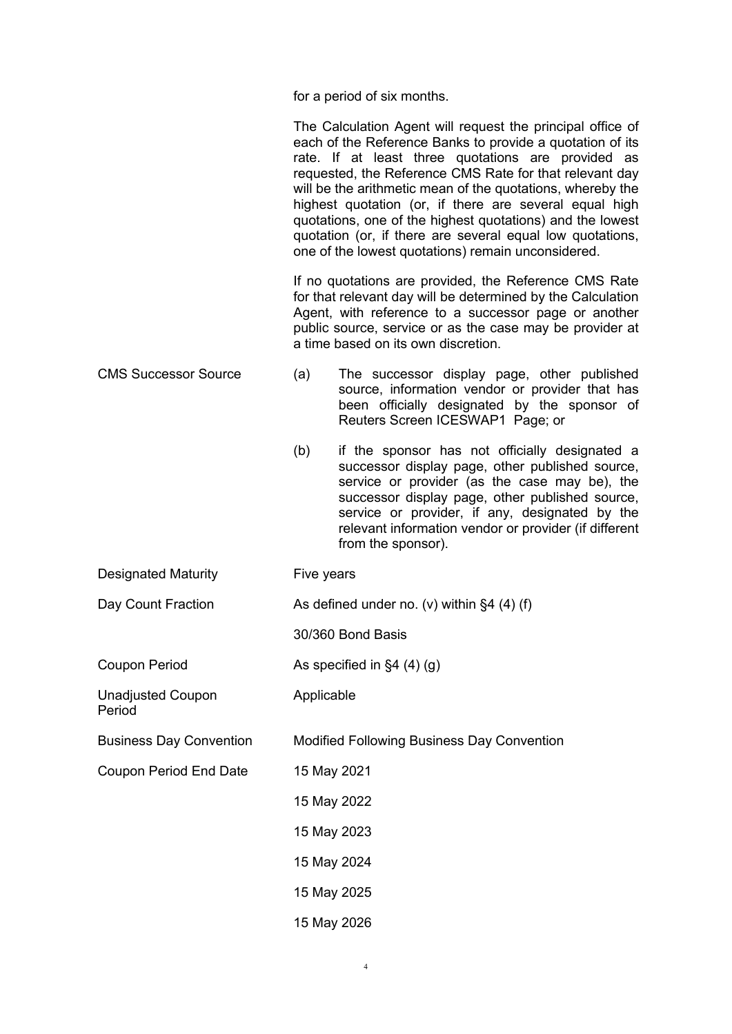for a period of six months.

|                                    | The Calculation Agent will request the principal office of<br>each of the Reference Banks to provide a quotation of its<br>rate. If at least three quotations are provided as<br>requested, the Reference CMS Rate for that relevant day<br>will be the arithmetic mean of the quotations, whereby the<br>highest quotation (or, if there are several equal high<br>quotations, one of the highest quotations) and the lowest<br>quotation (or, if there are several equal low quotations,<br>one of the lowest quotations) remain unconsidered. |  |  |
|------------------------------------|--------------------------------------------------------------------------------------------------------------------------------------------------------------------------------------------------------------------------------------------------------------------------------------------------------------------------------------------------------------------------------------------------------------------------------------------------------------------------------------------------------------------------------------------------|--|--|
|                                    | If no quotations are provided, the Reference CMS Rate<br>for that relevant day will be determined by the Calculation<br>Agent, with reference to a successor page or another<br>public source, service or as the case may be provider at<br>a time based on its own discretion.                                                                                                                                                                                                                                                                  |  |  |
| <b>CMS Successor Source</b>        | The successor display page, other published<br>(a)<br>source, information vendor or provider that has<br>been officially designated by the sponsor of<br>Reuters Screen ICESWAP1 Page; or                                                                                                                                                                                                                                                                                                                                                        |  |  |
|                                    | (b)<br>if the sponsor has not officially designated a<br>successor display page, other published source,<br>service or provider (as the case may be), the<br>successor display page, other published source,<br>service or provider, if any, designated by the<br>relevant information vendor or provider (if different<br>from the sponsor).                                                                                                                                                                                                    |  |  |
| <b>Designated Maturity</b>         | Five years                                                                                                                                                                                                                                                                                                                                                                                                                                                                                                                                       |  |  |
| Day Count Fraction                 | As defined under no. (v) within $\S 4$ (4) (f)                                                                                                                                                                                                                                                                                                                                                                                                                                                                                                   |  |  |
|                                    | 30/360 Bond Basis                                                                                                                                                                                                                                                                                                                                                                                                                                                                                                                                |  |  |
| <b>Coupon Period</b>               | As specified in $\S4(4)(g)$                                                                                                                                                                                                                                                                                                                                                                                                                                                                                                                      |  |  |
| <b>Unadjusted Coupon</b><br>Period | Applicable                                                                                                                                                                                                                                                                                                                                                                                                                                                                                                                                       |  |  |
| <b>Business Day Convention</b>     | <b>Modified Following Business Day Convention</b>                                                                                                                                                                                                                                                                                                                                                                                                                                                                                                |  |  |
| <b>Coupon Period End Date</b>      | 15 May 2021                                                                                                                                                                                                                                                                                                                                                                                                                                                                                                                                      |  |  |
|                                    | 15 May 2022                                                                                                                                                                                                                                                                                                                                                                                                                                                                                                                                      |  |  |
|                                    | 15 May 2023                                                                                                                                                                                                                                                                                                                                                                                                                                                                                                                                      |  |  |
|                                    | 15 May 2024                                                                                                                                                                                                                                                                                                                                                                                                                                                                                                                                      |  |  |
|                                    | 15 May 2025                                                                                                                                                                                                                                                                                                                                                                                                                                                                                                                                      |  |  |
|                                    | 15 May 2026                                                                                                                                                                                                                                                                                                                                                                                                                                                                                                                                      |  |  |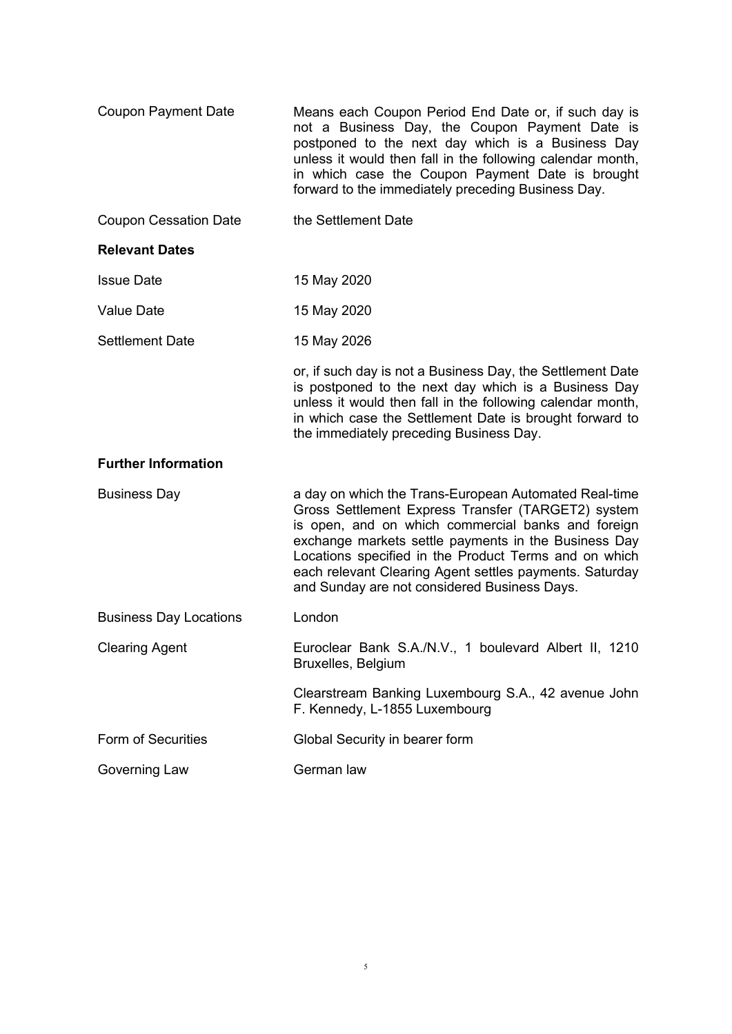| <b>Coupon Payment Date</b>    | Means each Coupon Period End Date or, if such day is<br>not a Business Day, the Coupon Payment Date is<br>postponed to the next day which is a Business Day<br>unless it would then fall in the following calendar month,<br>in which case the Coupon Payment Date is brought<br>forward to the immediately preceding Business Day.                                                           |
|-------------------------------|-----------------------------------------------------------------------------------------------------------------------------------------------------------------------------------------------------------------------------------------------------------------------------------------------------------------------------------------------------------------------------------------------|
| <b>Coupon Cessation Date</b>  | the Settlement Date                                                                                                                                                                                                                                                                                                                                                                           |
| <b>Relevant Dates</b>         |                                                                                                                                                                                                                                                                                                                                                                                               |
| <b>Issue Date</b>             | 15 May 2020                                                                                                                                                                                                                                                                                                                                                                                   |
| <b>Value Date</b>             | 15 May 2020                                                                                                                                                                                                                                                                                                                                                                                   |
| <b>Settlement Date</b>        | 15 May 2026                                                                                                                                                                                                                                                                                                                                                                                   |
|                               | or, if such day is not a Business Day, the Settlement Date<br>is postponed to the next day which is a Business Day<br>unless it would then fall in the following calendar month,<br>in which case the Settlement Date is brought forward to<br>the immediately preceding Business Day.                                                                                                        |
| <b>Further Information</b>    |                                                                                                                                                                                                                                                                                                                                                                                               |
| <b>Business Day</b>           | a day on which the Trans-European Automated Real-time<br>Gross Settlement Express Transfer (TARGET2) system<br>is open, and on which commercial banks and foreign<br>exchange markets settle payments in the Business Day<br>Locations specified in the Product Terms and on which<br>each relevant Clearing Agent settles payments. Saturday<br>and Sunday are not considered Business Days. |
| <b>Business Day Locations</b> | London                                                                                                                                                                                                                                                                                                                                                                                        |
| <b>Clearing Agent</b>         | Euroclear Bank S.A./N.V., 1 boulevard Albert II, 1210<br>Bruxelles, Belgium                                                                                                                                                                                                                                                                                                                   |
|                               | Clearstream Banking Luxembourg S.A., 42 avenue John<br>F. Kennedy, L-1855 Luxembourg                                                                                                                                                                                                                                                                                                          |
| <b>Form of Securities</b>     | Global Security in bearer form                                                                                                                                                                                                                                                                                                                                                                |
| Governing Law                 | German law                                                                                                                                                                                                                                                                                                                                                                                    |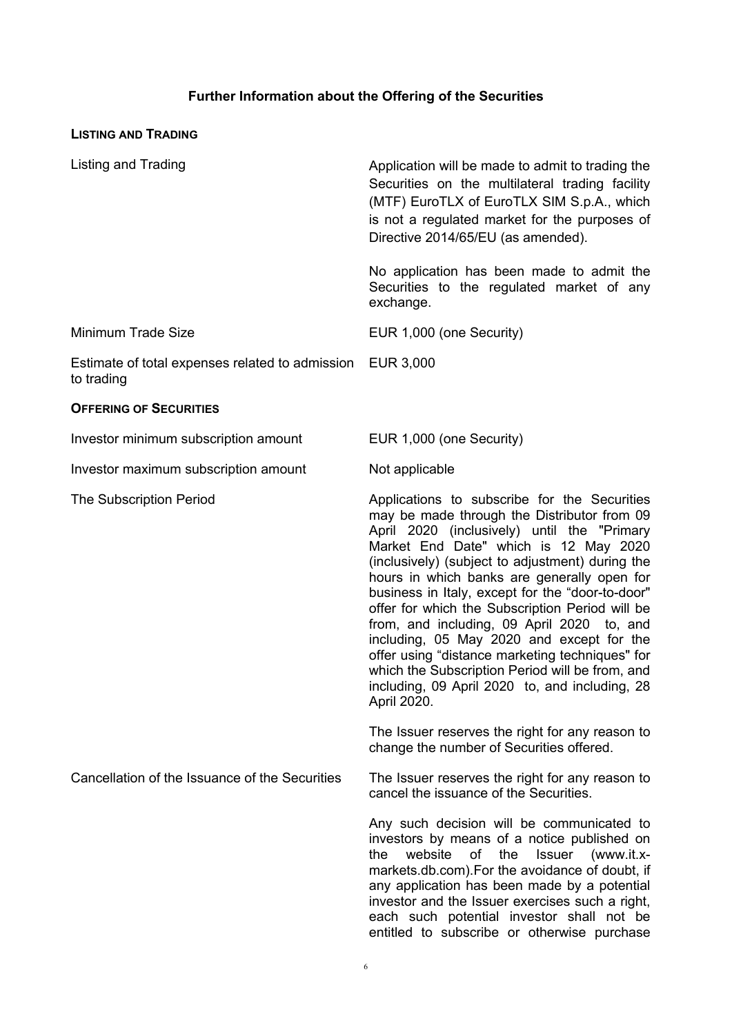## **Further Information about the Offering of the Securities**

| <b>LISTING AND TRADING</b>                                              |                                                                                                                                                                                                                                                                                                                                                                                                                                                                                                                                                                                                                                                                 |
|-------------------------------------------------------------------------|-----------------------------------------------------------------------------------------------------------------------------------------------------------------------------------------------------------------------------------------------------------------------------------------------------------------------------------------------------------------------------------------------------------------------------------------------------------------------------------------------------------------------------------------------------------------------------------------------------------------------------------------------------------------|
| <b>Listing and Trading</b>                                              | Application will be made to admit to trading the<br>Securities on the multilateral trading facility<br>(MTF) EuroTLX of EuroTLX SIM S.p.A., which<br>is not a regulated market for the purposes of<br>Directive 2014/65/EU (as amended).                                                                                                                                                                                                                                                                                                                                                                                                                        |
|                                                                         | No application has been made to admit the<br>Securities to the regulated market of any<br>exchange.                                                                                                                                                                                                                                                                                                                                                                                                                                                                                                                                                             |
| <b>Minimum Trade Size</b>                                               | EUR 1,000 (one Security)                                                                                                                                                                                                                                                                                                                                                                                                                                                                                                                                                                                                                                        |
| Estimate of total expenses related to admission EUR 3,000<br>to trading |                                                                                                                                                                                                                                                                                                                                                                                                                                                                                                                                                                                                                                                                 |
| <b>OFFERING OF SECURITIES</b>                                           |                                                                                                                                                                                                                                                                                                                                                                                                                                                                                                                                                                                                                                                                 |
| Investor minimum subscription amount                                    | EUR 1,000 (one Security)                                                                                                                                                                                                                                                                                                                                                                                                                                                                                                                                                                                                                                        |
| Investor maximum subscription amount                                    | Not applicable                                                                                                                                                                                                                                                                                                                                                                                                                                                                                                                                                                                                                                                  |
| <b>The Subscription Period</b>                                          | Applications to subscribe for the Securities<br>may be made through the Distributor from 09<br>April 2020 (inclusively) until the "Primary<br>Market End Date" which is 12 May 2020<br>(inclusively) (subject to adjustment) during the<br>hours in which banks are generally open for<br>business in Italy, except for the "door-to-door"<br>offer for which the Subscription Period will be<br>from, and including, 09 April 2020 to, and<br>including, 05 May 2020 and except for the<br>offer using "distance marketing techniques" for<br>which the Subscription Period will be from, and<br>including, 09 April 2020 to, and including, 28<br>April 2020. |
|                                                                         | The Issuer reserves the right for any reason to<br>change the number of Securities offered.                                                                                                                                                                                                                                                                                                                                                                                                                                                                                                                                                                     |
| Cancellation of the Issuance of the Securities                          | The Issuer reserves the right for any reason to<br>cancel the issuance of the Securities.                                                                                                                                                                                                                                                                                                                                                                                                                                                                                                                                                                       |
|                                                                         | Any such decision will be communicated to<br>investors by means of a notice published on<br>of<br>the<br>the<br>website<br><b>Issuer</b><br>(www.it.x-<br>markets.db.com). For the avoidance of doubt, if<br>any application has been made by a potential<br>investor and the Issuer exercises such a right,                                                                                                                                                                                                                                                                                                                                                    |

each such potential investor shall not be entitled to subscribe or otherwise purchase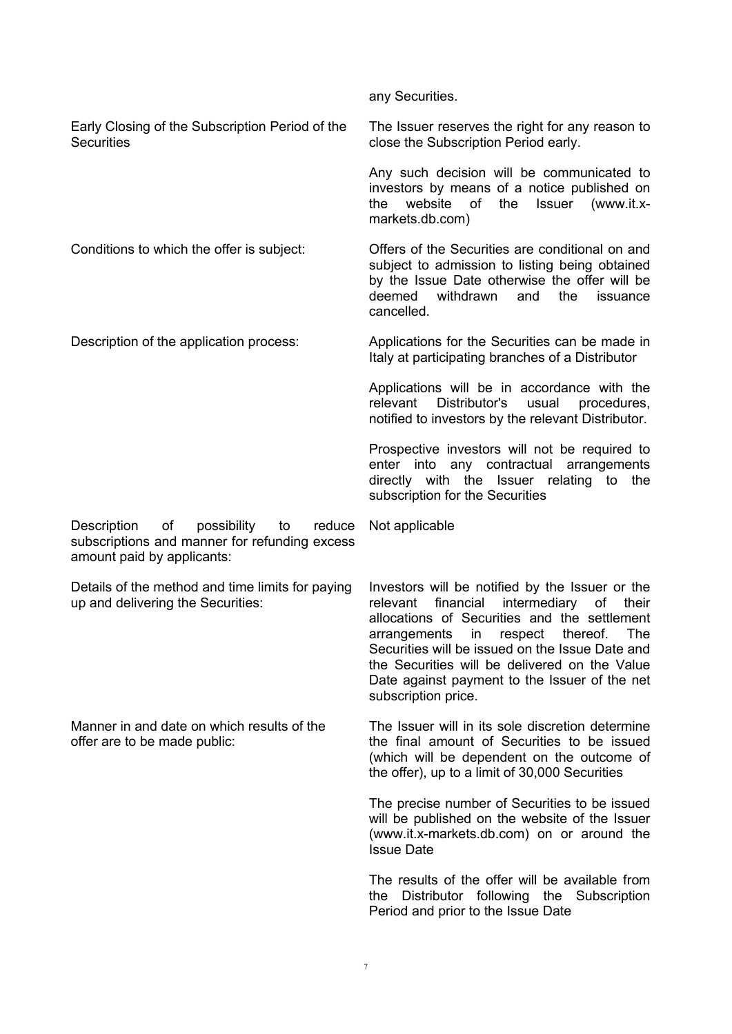|                                                                                                                                 | any Securities.                                                                                                                                                                                                                                                                                                                                                                |
|---------------------------------------------------------------------------------------------------------------------------------|--------------------------------------------------------------------------------------------------------------------------------------------------------------------------------------------------------------------------------------------------------------------------------------------------------------------------------------------------------------------------------|
| Early Closing of the Subscription Period of the<br><b>Securities</b>                                                            | The Issuer reserves the right for any reason to<br>close the Subscription Period early.                                                                                                                                                                                                                                                                                        |
|                                                                                                                                 | Any such decision will be communicated to<br>investors by means of a notice published on<br>website of<br>the<br>Issuer<br>the<br>(www.it.x-<br>markets.db.com)                                                                                                                                                                                                                |
| Conditions to which the offer is subject:                                                                                       | Offers of the Securities are conditional on and<br>subject to admission to listing being obtained<br>by the Issue Date otherwise the offer will be<br>and<br>deemed<br>withdrawn<br>the<br>issuance<br>cancelled.                                                                                                                                                              |
| Description of the application process:                                                                                         | Applications for the Securities can be made in<br>Italy at participating branches of a Distributor                                                                                                                                                                                                                                                                             |
|                                                                                                                                 | Applications will be in accordance with the<br>relevant<br>Distributor's<br>usual<br>procedures,<br>notified to investors by the relevant Distributor.                                                                                                                                                                                                                         |
|                                                                                                                                 | Prospective investors will not be required to<br>enter into any contractual arrangements<br>directly with the Issuer relating to<br>the<br>subscription for the Securities                                                                                                                                                                                                     |
|                                                                                                                                 |                                                                                                                                                                                                                                                                                                                                                                                |
| Description<br>possibility<br>of<br>reduce<br>to<br>subscriptions and manner for refunding excess<br>amount paid by applicants: | Not applicable                                                                                                                                                                                                                                                                                                                                                                 |
| Details of the method and time limits for paying<br>up and delivering the Securities:                                           | Investors will be notified by the Issuer or the<br>financial<br>intermediary<br>relevant<br>of<br>their<br>allocations of Securities and the settlement<br>arrangements in respect thereof.<br>The<br>Securities will be issued on the Issue Date and<br>the Securities will be delivered on the Value<br>Date against payment to the Issuer of the net<br>subscription price. |
| Manner in and date on which results of the<br>offer are to be made public:                                                      | The Issuer will in its sole discretion determine<br>the final amount of Securities to be issued<br>(which will be dependent on the outcome of<br>the offer), up to a limit of 30,000 Securities                                                                                                                                                                                |
|                                                                                                                                 | The precise number of Securities to be issued<br>will be published on the website of the Issuer<br>(www.it.x-markets.db.com) on or around the<br><b>Issue Date</b>                                                                                                                                                                                                             |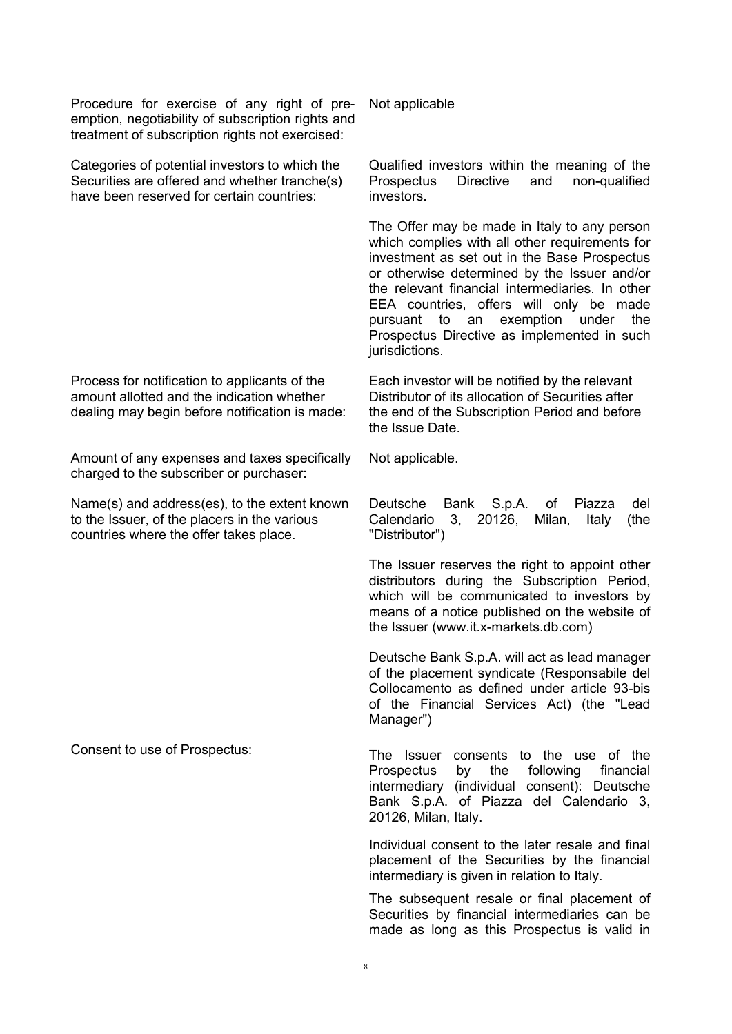Procedure for exercise of any right of preemption, negotiability of subscription rights and treatment of subscription rights not exercised:

Categories of potential investors to which the Securities are offered and whether tranche(s) have been reserved for certain countries:

Process for notification to applicants of the amount allotted and the indication whether dealing may begin before notification is made:

Amount of any expenses and taxes specifically charged to the subscriber or purchaser:

Name(s) and address(es), to the extent known to the Issuer, of the placers in the various countries where the offer takes place.

Not applicable

Qualified investors within the meaning of the Prospectus Directive and non-qualified investors.

The Offer may be made in Italy to any person which complies with all other requirements for investment as set out in the Base Prospectus or otherwise determined by the Issuer and/or the relevant financial intermediaries. In other EEA countries, offers will only be made pursuant to an exemption under the Prospectus Directive as implemented in such jurisdictions.

Each investor will be notified by the relevant Distributor of its allocation of Securities after the end of the Subscription Period and before the Issue Date.

Not applicable.

Deutsche Bank S.p.A. of Piazza del Calendario 3, 20126, Milan, Italy (the "Distributor")

The Issuer reserves the right to appoint other distributors during the Subscription Period, which will be communicated to investors by means of a notice published on the website of the Issuer (www.it.x-markets.db.com)

Deutsche Bank S.p.A. will act as lead manager of the placement syndicate (Responsabile del Collocamento as defined under article 93-bis of the Financial Services Act) (the "Lead Manager")

Consent to use of Prospectus: The Issuer consents to the use of the Prospectus by the following financial intermediary (individual consent): Deutsche Bank S.p.A. of Piazza del Calendario 3, 20126, Milan, Italy.

> Individual consent to the later resale and final placement of the Securities by the financial intermediary is given in relation to Italy.

> The subsequent resale or final placement of Securities by financial intermediaries can be made as long as this Prospectus is valid in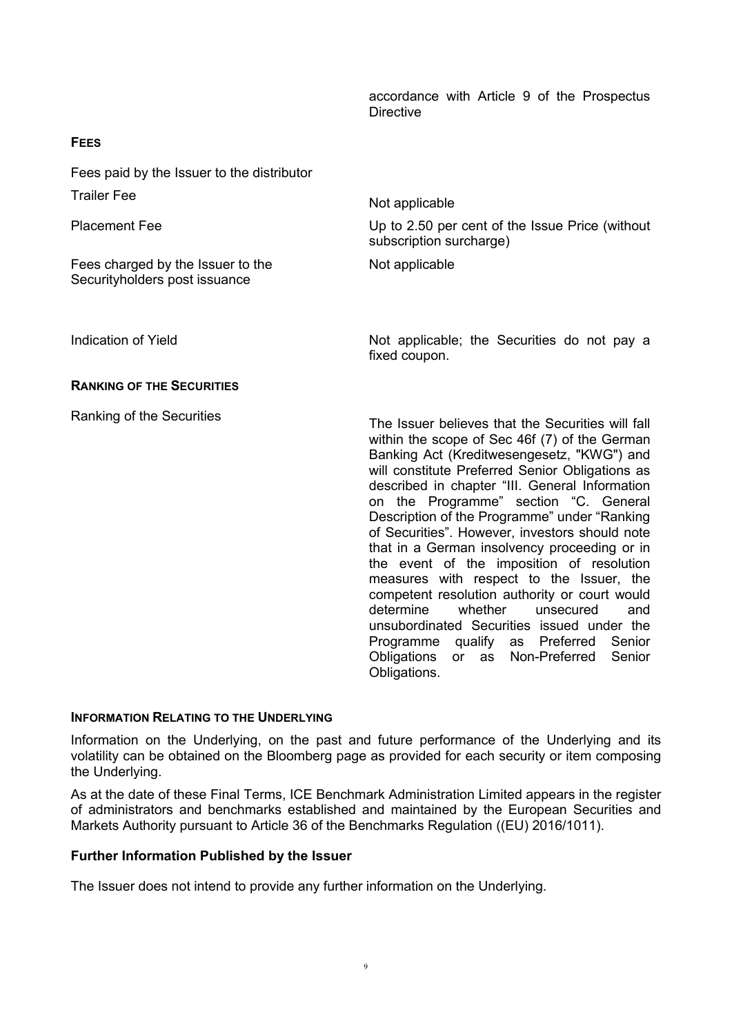#### accordance with Article 9 of the Prospectus **Directive**

Obligations or as Non-Preferred Senior

| Fees paid by the Issuer to the distributor                         |                                                                                                                                                                                                                                                                                                                                                                                                                                                                                                                                                                                                                                                                                                                                           |
|--------------------------------------------------------------------|-------------------------------------------------------------------------------------------------------------------------------------------------------------------------------------------------------------------------------------------------------------------------------------------------------------------------------------------------------------------------------------------------------------------------------------------------------------------------------------------------------------------------------------------------------------------------------------------------------------------------------------------------------------------------------------------------------------------------------------------|
| <b>Trailer Fee</b>                                                 | Not applicable                                                                                                                                                                                                                                                                                                                                                                                                                                                                                                                                                                                                                                                                                                                            |
| <b>Placement Fee</b>                                               | Up to 2.50 per cent of the Issue Price (without<br>subscription surcharge)                                                                                                                                                                                                                                                                                                                                                                                                                                                                                                                                                                                                                                                                |
| Fees charged by the Issuer to the<br>Securityholders post issuance | Not applicable                                                                                                                                                                                                                                                                                                                                                                                                                                                                                                                                                                                                                                                                                                                            |
| Indication of Yield                                                | Not applicable; the Securities do not pay a<br>fixed coupon.                                                                                                                                                                                                                                                                                                                                                                                                                                                                                                                                                                                                                                                                              |
| <b>RANKING OF THE SECURITIES</b>                                   |                                                                                                                                                                                                                                                                                                                                                                                                                                                                                                                                                                                                                                                                                                                                           |
| Ranking of the Securities                                          | The Issuer believes that the Securities will fall<br>within the scope of Sec 46f (7) of the German<br>Banking Act (Kreditwesengesetz, "KWG") and<br>will constitute Preferred Senior Obligations as<br>described in chapter "III. General Information<br>on the Programme" section "C. General<br>Description of the Programme" under "Ranking<br>of Securities". However, investors should note<br>that in a German insolvency proceeding or in<br>the event of the imposition of resolution<br>measures with respect to the Issuer, the<br>competent resolution authority or court would<br>determine<br>whether<br>unsecured<br>and<br>unsubordinated Securities issued under the<br>Senior<br>qualify<br>Preferred<br>Programme<br>as |

#### **INFORMATION RELATING TO THE UNDERLYING**

**FEES**

Information on the Underlying, on the past and future performance of the Underlying and its volatility can be obtained on the Bloomberg page as provided for each security or item composing the Underlying.

Obligations.

As at the date of these Final Terms, ICE Benchmark Administration Limited appears in the register of administrators and benchmarks established and maintained by the European Securities and Markets Authority pursuant to Article 36 of the Benchmarks Regulation ((EU) 2016/1011).

#### **Further Information Published by the Issuer**

The Issuer does not intend to provide any further information on the Underlying.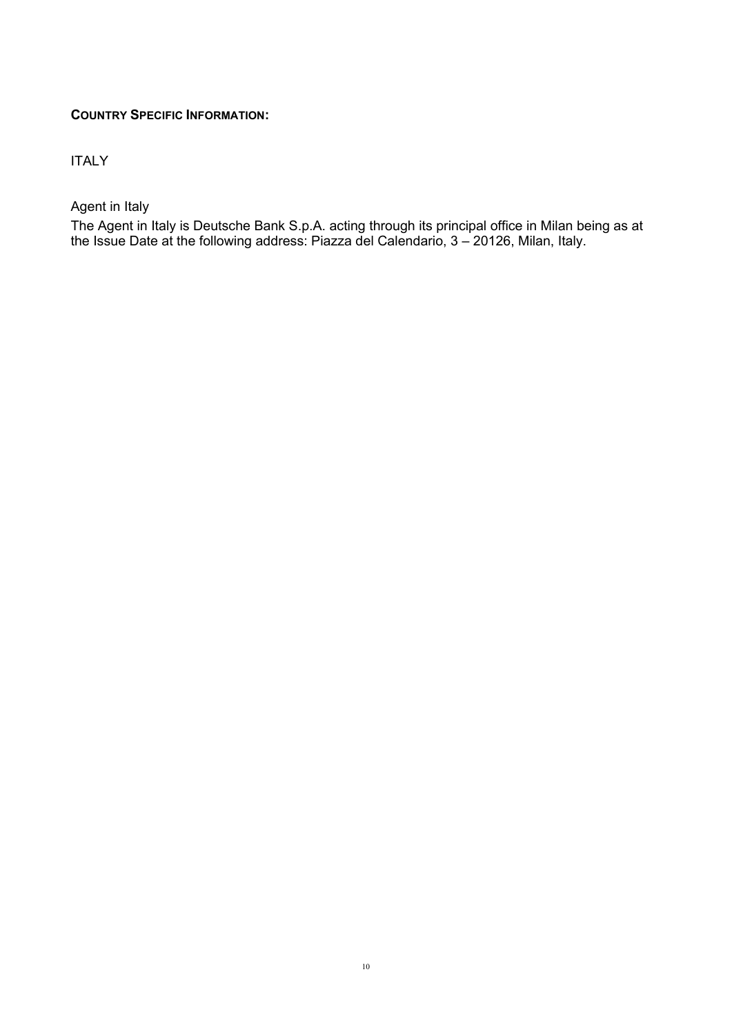### **COUNTRY SPECIFIC INFORMATION:**

ITALY

Agent in Italy

The Agent in Italy is Deutsche Bank S.p.A. acting through its principal office in Milan being as at the Issue Date at the following address: Piazza del Calendario, 3 – 20126, Milan, Italy.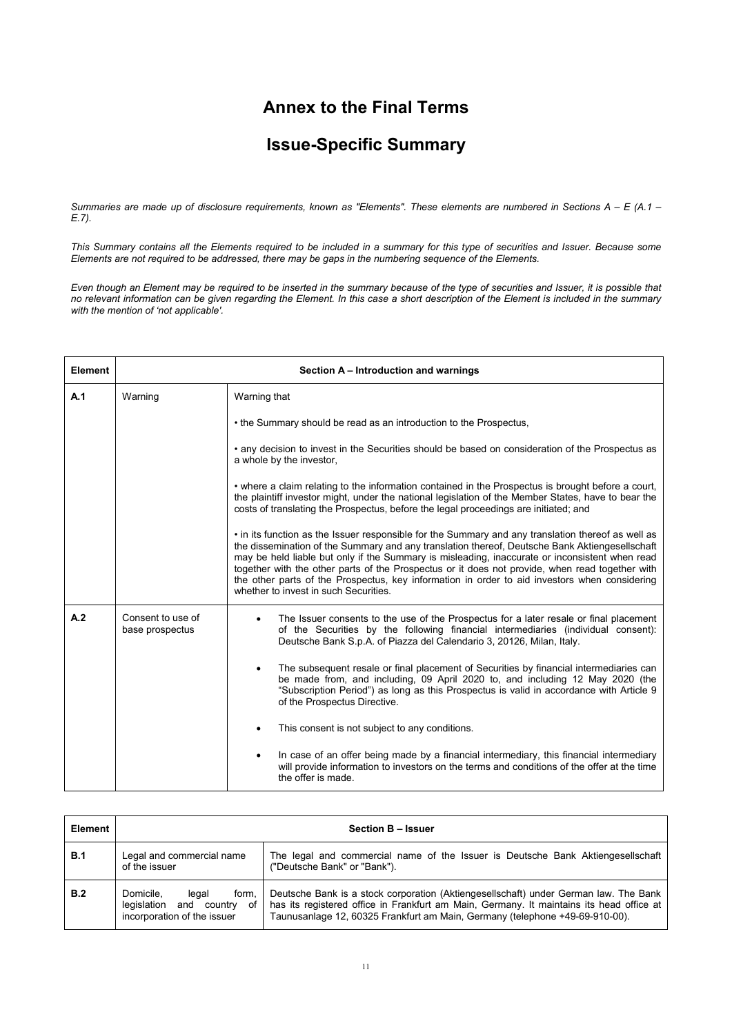## **Annex to the Final Terms**

# **Issue-Specific Summary**

*Summaries are made up of disclosure requirements, known as "Elements". These elements are numbered in Sections A – E (A.1 – E.7).*

*This Summary contains all the Elements required to be included in a summary for this type of securities and Issuer. Because some Elements are not required to be addressed, there may be gaps in the numbering sequence of the Elements.*

*Even though an Element may be required to be inserted in the summary because of the type of securities and Issuer, it is possible that no relevant information can be given regarding the Element. In this case a short description of the Element is included in the summary with the mention of 'not applicable'.*

| Element |                                      | Section A - Introduction and warnings                                                                                                                                                                                                                                                                                                                                                                                                                                                                                                               |  |  |
|---------|--------------------------------------|-----------------------------------------------------------------------------------------------------------------------------------------------------------------------------------------------------------------------------------------------------------------------------------------------------------------------------------------------------------------------------------------------------------------------------------------------------------------------------------------------------------------------------------------------------|--|--|
| A.1     | Warning                              | Warning that                                                                                                                                                                                                                                                                                                                                                                                                                                                                                                                                        |  |  |
|         |                                      | • the Summary should be read as an introduction to the Prospectus,                                                                                                                                                                                                                                                                                                                                                                                                                                                                                  |  |  |
|         |                                      | • any decision to invest in the Securities should be based on consideration of the Prospectus as<br>a whole by the investor,                                                                                                                                                                                                                                                                                                                                                                                                                        |  |  |
|         |                                      | • where a claim relating to the information contained in the Prospectus is brought before a court,<br>the plaintiff investor might, under the national legislation of the Member States, have to bear the<br>costs of translating the Prospectus, before the legal proceedings are initiated; and                                                                                                                                                                                                                                                   |  |  |
|         |                                      | • in its function as the Issuer responsible for the Summary and any translation thereof as well as<br>the dissemination of the Summary and any translation thereof, Deutsche Bank Aktiengesellschaft<br>may be held liable but only if the Summary is misleading, inaccurate or inconsistent when read<br>together with the other parts of the Prospectus or it does not provide, when read together with<br>the other parts of the Prospectus, key information in order to aid investors when considering<br>whether to invest in such Securities. |  |  |
| A.2     | Consent to use of<br>base prospectus | The Issuer consents to the use of the Prospectus for a later resale or final placement<br>of the Securities by the following financial intermediaries (individual consent):<br>Deutsche Bank S.p.A. of Piazza del Calendario 3, 20126, Milan, Italy.                                                                                                                                                                                                                                                                                                |  |  |
|         |                                      | The subsequent resale or final placement of Securities by financial intermediaries can<br>be made from, and including, 09 April 2020 to, and including 12 May 2020 (the<br>"Subscription Period") as long as this Prospectus is valid in accordance with Article 9<br>of the Prospectus Directive.                                                                                                                                                                                                                                                  |  |  |
|         |                                      | This consent is not subject to any conditions.                                                                                                                                                                                                                                                                                                                                                                                                                                                                                                      |  |  |
|         |                                      | In case of an offer being made by a financial intermediary, this financial intermediary<br>٠<br>will provide information to investors on the terms and conditions of the offer at the time<br>the offer is made.                                                                                                                                                                                                                                                                                                                                    |  |  |

| <b>Element</b> | Section B - Issuer                                                                                |                                                                                                                                                                                                                                                                  |  |
|----------------|---------------------------------------------------------------------------------------------------|------------------------------------------------------------------------------------------------------------------------------------------------------------------------------------------------------------------------------------------------------------------|--|
| <b>B.1</b>     | Legal and commercial name<br>of the issuer                                                        | The legal and commercial name of the Issuer is Deutsche Bank Aktiengesellschaft<br>("Deutsche Bank" or "Bank").                                                                                                                                                  |  |
| B.2            | Domicile.<br>legal<br>form.<br>legislation<br>and<br>of<br>country<br>incorporation of the issuer | Deutsche Bank is a stock corporation (Aktiengesellschaft) under German law. The Bank<br>has its registered office in Frankfurt am Main, Germany. It maintains its head office at<br>Taunusanlage 12, 60325 Frankfurt am Main, Germany (telephone +49-69-910-00). |  |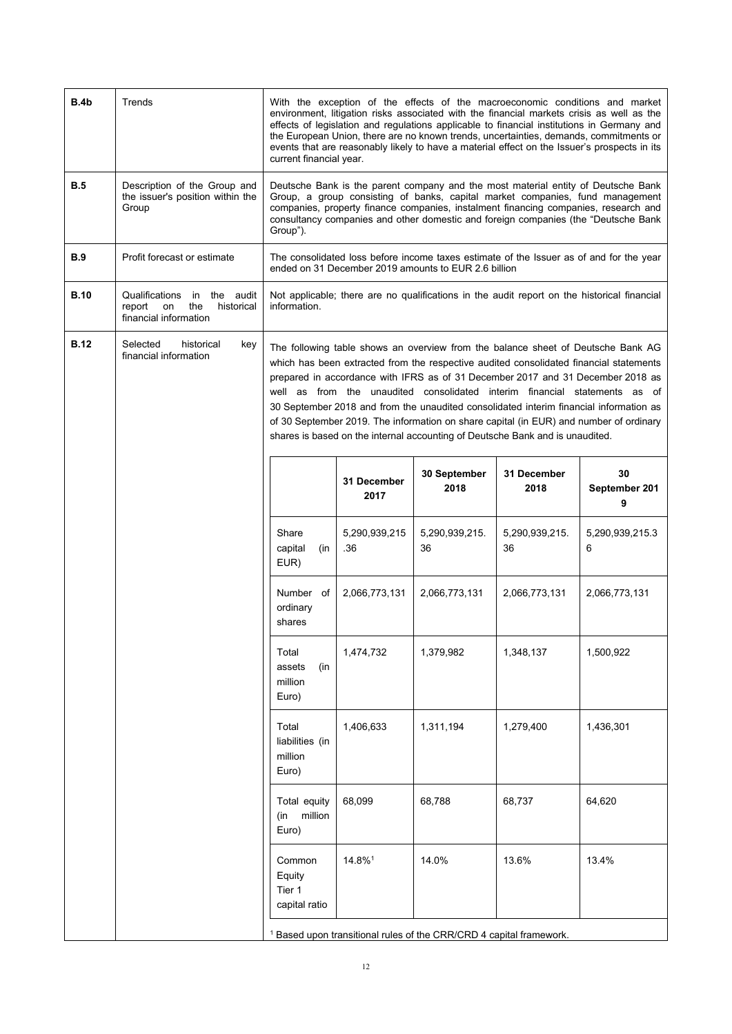| B.4b        | Trends                                                                                    | With the exception of the effects of the macroeconomic conditions and market<br>environment, litigation risks associated with the financial markets crisis as well as the<br>effects of legislation and regulations applicable to financial institutions in Germany and<br>the European Union, there are no known trends, uncertainties, demands, commitments or<br>events that are reasonably likely to have a material effect on the Issuer's prospects in its<br>current financial year.                                                                                                                      |                                                                                                                                                                                                                                                                                                                                                 |                                                                   |                      |                                                                                             |
|-------------|-------------------------------------------------------------------------------------------|------------------------------------------------------------------------------------------------------------------------------------------------------------------------------------------------------------------------------------------------------------------------------------------------------------------------------------------------------------------------------------------------------------------------------------------------------------------------------------------------------------------------------------------------------------------------------------------------------------------|-------------------------------------------------------------------------------------------------------------------------------------------------------------------------------------------------------------------------------------------------------------------------------------------------------------------------------------------------|-------------------------------------------------------------------|----------------------|---------------------------------------------------------------------------------------------|
| B.5         | Description of the Group and<br>the issuer's position within the<br>Group                 | Group").                                                                                                                                                                                                                                                                                                                                                                                                                                                                                                                                                                                                         | Deutsche Bank is the parent company and the most material entity of Deutsche Bank<br>Group, a group consisting of banks, capital market companies, fund management<br>companies, property finance companies, instalment financing companies, research and<br>consultancy companies and other domestic and foreign companies (the "Deutsche Bank |                                                                   |                      |                                                                                             |
| <b>B.9</b>  | Profit forecast or estimate                                                               |                                                                                                                                                                                                                                                                                                                                                                                                                                                                                                                                                                                                                  |                                                                                                                                                                                                                                                                                                                                                 | ended on 31 December 2019 amounts to EUR 2.6 billion              |                      | The consolidated loss before income taxes estimate of the Issuer as of and for the year     |
| <b>B.10</b> | Qualifications in the audit<br>the<br>historical<br>report<br>on<br>financial information | information.                                                                                                                                                                                                                                                                                                                                                                                                                                                                                                                                                                                                     |                                                                                                                                                                                                                                                                                                                                                 |                                                                   |                      | Not applicable; there are no qualifications in the audit report on the historical financial |
| <b>B.12</b> | Selected<br>historical<br>key<br>financial information                                    | The following table shows an overview from the balance sheet of Deutsche Bank AG<br>which has been extracted from the respective audited consolidated financial statements<br>prepared in accordance with IFRS as of 31 December 2017 and 31 December 2018 as<br>well as from the unaudited consolidated interim financial statements as of<br>30 September 2018 and from the unaudited consolidated interim financial information as<br>of 30 September 2019. The information on share capital (in EUR) and number of ordinary<br>shares is based on the internal accounting of Deutsche Bank and is unaudited. |                                                                                                                                                                                                                                                                                                                                                 |                                                                   |                      |                                                                                             |
|             |                                                                                           |                                                                                                                                                                                                                                                                                                                                                                                                                                                                                                                                                                                                                  | 31 December<br>2017                                                                                                                                                                                                                                                                                                                             | 30 September<br>2018                                              | 31 December<br>2018  | 30<br>September 201<br>9                                                                    |
|             |                                                                                           | Share<br>capital<br>(in<br>EUR)                                                                                                                                                                                                                                                                                                                                                                                                                                                                                                                                                                                  | 5,290,939,215<br>.36                                                                                                                                                                                                                                                                                                                            | 5,290,939,215.<br>36                                              | 5,290,939,215.<br>36 | 5,290,939,215.3<br>6                                                                        |
|             |                                                                                           | Number of<br>ordinary<br>shares                                                                                                                                                                                                                                                                                                                                                                                                                                                                                                                                                                                  | 2,066,773,131                                                                                                                                                                                                                                                                                                                                   | 2,066,773,131                                                     | 2,066,773,131        | 2,066,773,131                                                                               |
|             |                                                                                           | Total<br>assets<br>(in<br>million<br>Euro)                                                                                                                                                                                                                                                                                                                                                                                                                                                                                                                                                                       | 1,474,732                                                                                                                                                                                                                                                                                                                                       | 1,379,982                                                         | 1,348,137            | 1,500,922                                                                                   |
|             |                                                                                           | Total<br>liabilities (in<br>million<br>Euro)                                                                                                                                                                                                                                                                                                                                                                                                                                                                                                                                                                     | 1,406,633                                                                                                                                                                                                                                                                                                                                       | 1,311,194                                                         | 1,279,400            | 1,436,301                                                                                   |
|             |                                                                                           | Total equity<br>million<br>(in<br>Euro)                                                                                                                                                                                                                                                                                                                                                                                                                                                                                                                                                                          | 68,099                                                                                                                                                                                                                                                                                                                                          | 68,788                                                            | 68,737               | 64,620                                                                                      |
|             |                                                                                           | Common<br>Equity<br>Tier 1<br>capital ratio                                                                                                                                                                                                                                                                                                                                                                                                                                                                                                                                                                      | 14.8%1                                                                                                                                                                                                                                                                                                                                          | 14.0%                                                             | 13.6%                | 13.4%                                                                                       |
|             |                                                                                           |                                                                                                                                                                                                                                                                                                                                                                                                                                                                                                                                                                                                                  |                                                                                                                                                                                                                                                                                                                                                 | Based upon transitional rules of the CRR/CRD 4 capital framework. |                      |                                                                                             |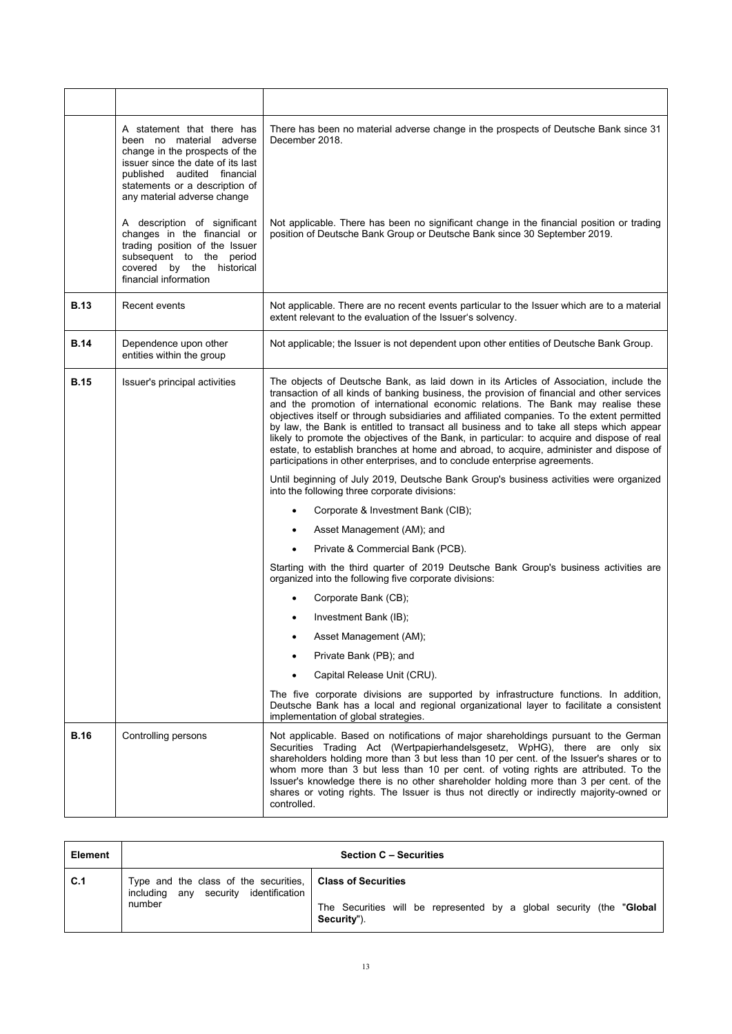|             | A statement that there has<br>been no material adverse<br>change in the prospects of the<br>issuer since the date of its last<br>published audited financial<br>statements or a description of<br>any material adverse change | There has been no material adverse change in the prospects of Deutsche Bank since 31<br>December 2018.                                                                                                                                                                                                                                                                                                                                                                                                                                                                                                                                                                                                                                         |  |
|-------------|-------------------------------------------------------------------------------------------------------------------------------------------------------------------------------------------------------------------------------|------------------------------------------------------------------------------------------------------------------------------------------------------------------------------------------------------------------------------------------------------------------------------------------------------------------------------------------------------------------------------------------------------------------------------------------------------------------------------------------------------------------------------------------------------------------------------------------------------------------------------------------------------------------------------------------------------------------------------------------------|--|
|             | A description of significant<br>changes in the financial or<br>trading position of the Issuer<br>subsequent to the period<br>covered by the historical<br>financial information                                               | Not applicable. There has been no significant change in the financial position or trading<br>position of Deutsche Bank Group or Deutsche Bank since 30 September 2019.                                                                                                                                                                                                                                                                                                                                                                                                                                                                                                                                                                         |  |
| <b>B.13</b> | Recent events                                                                                                                                                                                                                 | Not applicable. There are no recent events particular to the Issuer which are to a material<br>extent relevant to the evaluation of the Issuer's solvency.                                                                                                                                                                                                                                                                                                                                                                                                                                                                                                                                                                                     |  |
| <b>B.14</b> | Dependence upon other<br>entities within the group                                                                                                                                                                            | Not applicable; the Issuer is not dependent upon other entities of Deutsche Bank Group.                                                                                                                                                                                                                                                                                                                                                                                                                                                                                                                                                                                                                                                        |  |
| <b>B.15</b> | Issuer's principal activities                                                                                                                                                                                                 | The objects of Deutsche Bank, as laid down in its Articles of Association, include the<br>transaction of all kinds of banking business, the provision of financial and other services<br>and the promotion of international economic relations. The Bank may realise these<br>objectives itself or through subsidiaries and affiliated companies. To the extent permitted<br>by law, the Bank is entitled to transact all business and to take all steps which appear<br>likely to promote the objectives of the Bank, in particular: to acquire and dispose of real<br>estate, to establish branches at home and abroad, to acquire, administer and dispose of<br>participations in other enterprises, and to conclude enterprise agreements. |  |
|             |                                                                                                                                                                                                                               | Until beginning of July 2019, Deutsche Bank Group's business activities were organized<br>into the following three corporate divisions:                                                                                                                                                                                                                                                                                                                                                                                                                                                                                                                                                                                                        |  |
|             |                                                                                                                                                                                                                               | Corporate & Investment Bank (CIB);                                                                                                                                                                                                                                                                                                                                                                                                                                                                                                                                                                                                                                                                                                             |  |
|             |                                                                                                                                                                                                                               | Asset Management (AM); and                                                                                                                                                                                                                                                                                                                                                                                                                                                                                                                                                                                                                                                                                                                     |  |
|             |                                                                                                                                                                                                                               | Private & Commercial Bank (PCB).                                                                                                                                                                                                                                                                                                                                                                                                                                                                                                                                                                                                                                                                                                               |  |
|             |                                                                                                                                                                                                                               | Starting with the third quarter of 2019 Deutsche Bank Group's business activities are<br>organized into the following five corporate divisions:                                                                                                                                                                                                                                                                                                                                                                                                                                                                                                                                                                                                |  |
|             |                                                                                                                                                                                                                               | Corporate Bank (CB);                                                                                                                                                                                                                                                                                                                                                                                                                                                                                                                                                                                                                                                                                                                           |  |
|             |                                                                                                                                                                                                                               | Investment Bank (IB);                                                                                                                                                                                                                                                                                                                                                                                                                                                                                                                                                                                                                                                                                                                          |  |
|             |                                                                                                                                                                                                                               | Asset Management (AM);                                                                                                                                                                                                                                                                                                                                                                                                                                                                                                                                                                                                                                                                                                                         |  |
|             |                                                                                                                                                                                                                               | Private Bank (PB); and                                                                                                                                                                                                                                                                                                                                                                                                                                                                                                                                                                                                                                                                                                                         |  |
|             |                                                                                                                                                                                                                               | Capital Release Unit (CRU).                                                                                                                                                                                                                                                                                                                                                                                                                                                                                                                                                                                                                                                                                                                    |  |
|             |                                                                                                                                                                                                                               | The five corporate divisions are supported by infrastructure functions. In addition,<br>Deutsche Bank has a local and regional organizational layer to facilitate a consistent<br>implementation of global strategies.                                                                                                                                                                                                                                                                                                                                                                                                                                                                                                                         |  |
| <b>B.16</b> | Controlling persons                                                                                                                                                                                                           | Not applicable. Based on notifications of major shareholdings pursuant to the German<br>Securities Trading Act (Wertpapierhandelsgesetz, WpHG), there are only six<br>shareholders holding more than 3 but less than 10 per cent. of the Issuer's shares or to<br>whom more than 3 but less than 10 per cent. of voting rights are attributed. To the<br>Issuer's knowledge there is no other shareholder holding more than 3 per cent. of the<br>shares or voting rights. The Issuer is thus not directly or indirectly majority-owned or<br>controlled.                                                                                                                                                                                      |  |

| Element |                                                                                                      | <b>Section C - Securities</b>                                                        |
|---------|------------------------------------------------------------------------------------------------------|--------------------------------------------------------------------------------------|
| C.1     | Type and the class of the securities,   Class of Securities<br>including any security identification |                                                                                      |
|         | number                                                                                               | The Securities will be represented by a global security (the "Global"<br>Security"). |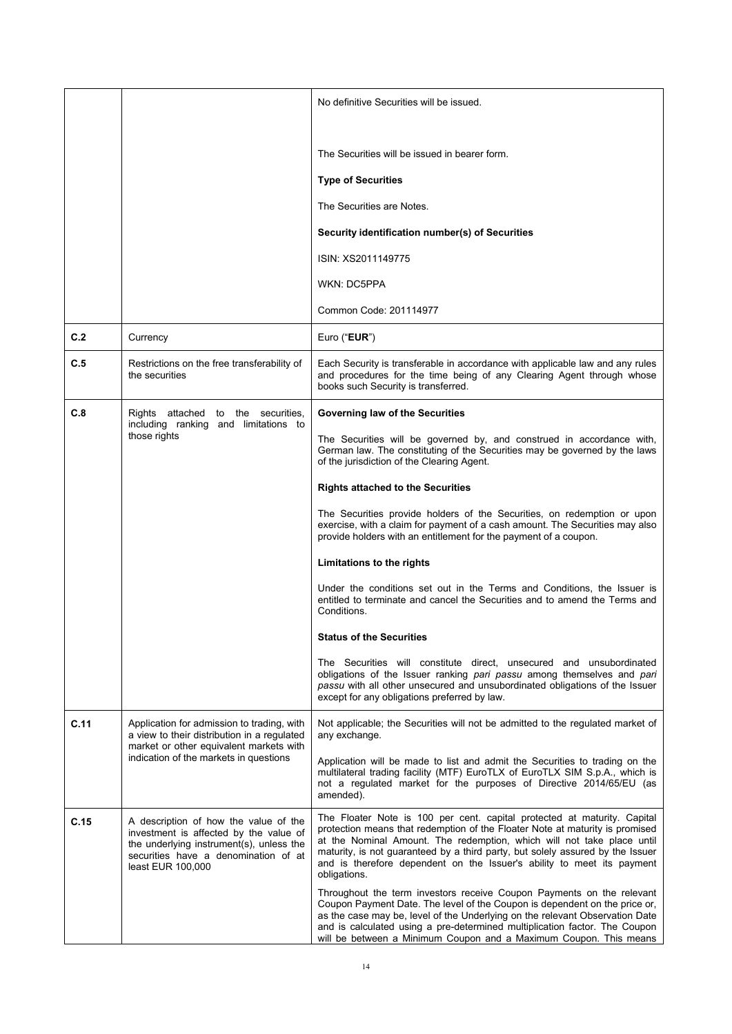|      |                                                                                                                                                                                          | No definitive Securities will be issued.                                                                                                                                                                                                                                                                                                                                                                       |  |
|------|------------------------------------------------------------------------------------------------------------------------------------------------------------------------------------------|----------------------------------------------------------------------------------------------------------------------------------------------------------------------------------------------------------------------------------------------------------------------------------------------------------------------------------------------------------------------------------------------------------------|--|
|      |                                                                                                                                                                                          |                                                                                                                                                                                                                                                                                                                                                                                                                |  |
|      |                                                                                                                                                                                          | The Securities will be issued in bearer form.                                                                                                                                                                                                                                                                                                                                                                  |  |
|      |                                                                                                                                                                                          | <b>Type of Securities</b>                                                                                                                                                                                                                                                                                                                                                                                      |  |
|      |                                                                                                                                                                                          | The Securities are Notes.                                                                                                                                                                                                                                                                                                                                                                                      |  |
|      |                                                                                                                                                                                          | Security identification number(s) of Securities                                                                                                                                                                                                                                                                                                                                                                |  |
|      |                                                                                                                                                                                          | ISIN: XS2011149775                                                                                                                                                                                                                                                                                                                                                                                             |  |
|      |                                                                                                                                                                                          | WKN: DC5PPA                                                                                                                                                                                                                                                                                                                                                                                                    |  |
|      |                                                                                                                                                                                          | Common Code: 201114977                                                                                                                                                                                                                                                                                                                                                                                         |  |
| C.2  | Currency                                                                                                                                                                                 | Euro ("EUR")                                                                                                                                                                                                                                                                                                                                                                                                   |  |
| C.5  | Restrictions on the free transferability of<br>the securities                                                                                                                            | Each Security is transferable in accordance with applicable law and any rules<br>and procedures for the time being of any Clearing Agent through whose<br>books such Security is transferred.                                                                                                                                                                                                                  |  |
| C.8  | Rights attached to the securities,                                                                                                                                                       | Governing law of the Securities                                                                                                                                                                                                                                                                                                                                                                                |  |
|      | including ranking and limitations to<br>those rights                                                                                                                                     | The Securities will be governed by, and construed in accordance with,<br>German law. The constituting of the Securities may be governed by the laws<br>of the jurisdiction of the Clearing Agent.                                                                                                                                                                                                              |  |
|      |                                                                                                                                                                                          | <b>Rights attached to the Securities</b>                                                                                                                                                                                                                                                                                                                                                                       |  |
|      |                                                                                                                                                                                          | The Securities provide holders of the Securities, on redemption or upon<br>exercise, with a claim for payment of a cash amount. The Securities may also<br>provide holders with an entitlement for the payment of a coupon.                                                                                                                                                                                    |  |
|      |                                                                                                                                                                                          | Limitations to the rights                                                                                                                                                                                                                                                                                                                                                                                      |  |
|      |                                                                                                                                                                                          | Under the conditions set out in the Terms and Conditions, the Issuer is<br>entitled to terminate and cancel the Securities and to amend the Terms and<br>Conditions.                                                                                                                                                                                                                                           |  |
|      |                                                                                                                                                                                          | <b>Status of the Securities</b>                                                                                                                                                                                                                                                                                                                                                                                |  |
|      |                                                                                                                                                                                          | The Securities will constitute direct, unsecured and unsubordinated<br>obligations of the Issuer ranking pari passu among themselves and pari<br>passu with all other unsecured and unsubordinated obligations of the Issuer<br>except for any obligations preferred by law.                                                                                                                                   |  |
| C.11 | Application for admission to trading, with<br>a view to their distribution in a regulated<br>market or other equivalent markets with                                                     | Not applicable; the Securities will not be admitted to the regulated market of<br>any exchange.                                                                                                                                                                                                                                                                                                                |  |
|      | indication of the markets in questions                                                                                                                                                   | Application will be made to list and admit the Securities to trading on the<br>multilateral trading facility (MTF) EuroTLX of EuroTLX SIM S.p.A., which is<br>not a regulated market for the purposes of Directive 2014/65/EU (as<br>amended).                                                                                                                                                                 |  |
| C.15 | A description of how the value of the<br>investment is affected by the value of<br>the underlying instrument(s), unless the<br>securities have a denomination of at<br>least EUR 100,000 | The Floater Note is 100 per cent. capital protected at maturity. Capital<br>protection means that redemption of the Floater Note at maturity is promised<br>at the Nominal Amount. The redemption, which will not take place until<br>maturity, is not guaranteed by a third party, but solely assured by the Issuer<br>and is therefore dependent on the Issuer's ability to meet its payment<br>obligations. |  |
|      |                                                                                                                                                                                          | Throughout the term investors receive Coupon Payments on the relevant<br>Coupon Payment Date. The level of the Coupon is dependent on the price or,<br>as the case may be, level of the Underlying on the relevant Observation Date<br>and is calculated using a pre-determined multiplication factor. The Coupon<br>will be between a Minimum Coupon and a Maximum Coupon. This means                         |  |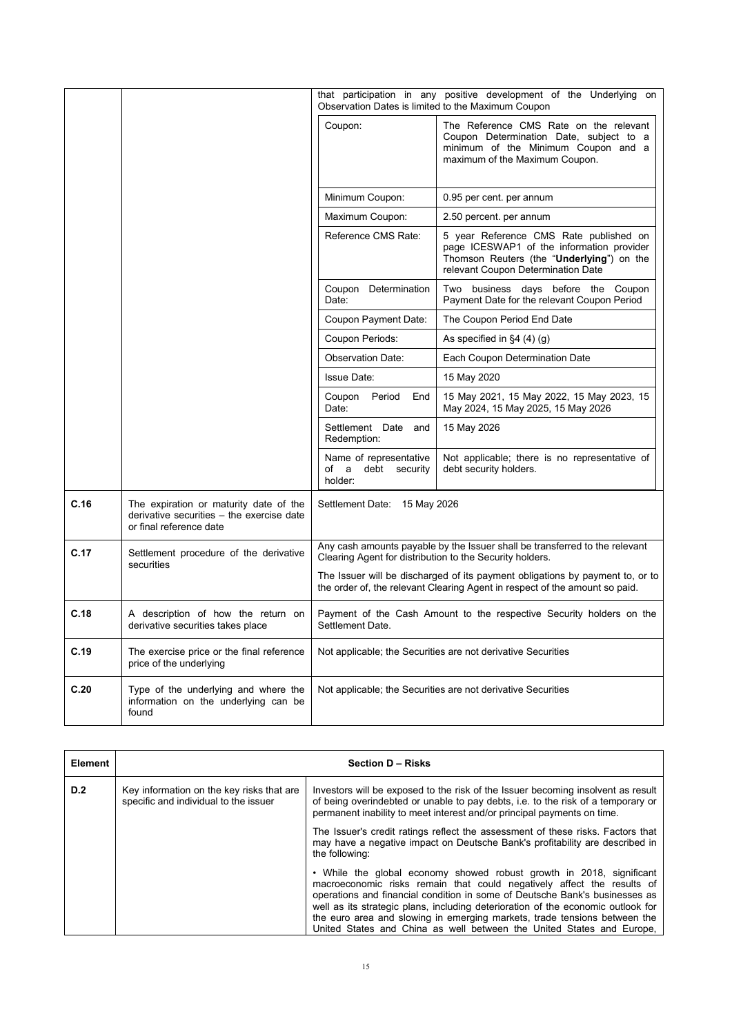|      |                                                                                                                | that participation in any positive development of the Underlying on<br>Observation Dates is limited to the Maximum Coupon |                                                                                                                                                                        |  |
|------|----------------------------------------------------------------------------------------------------------------|---------------------------------------------------------------------------------------------------------------------------|------------------------------------------------------------------------------------------------------------------------------------------------------------------------|--|
|      |                                                                                                                | Coupon:                                                                                                                   | The Reference CMS Rate on the relevant<br>Coupon Determination Date, subject to a<br>minimum of the Minimum Coupon and a<br>maximum of the Maximum Coupon.             |  |
|      |                                                                                                                | Minimum Coupon:                                                                                                           | 0.95 per cent. per annum                                                                                                                                               |  |
|      |                                                                                                                | Maximum Coupon:                                                                                                           | 2.50 percent. per annum                                                                                                                                                |  |
|      |                                                                                                                | Reference CMS Rate:                                                                                                       | 5 year Reference CMS Rate published on<br>page ICESWAP1 of the information provider<br>Thomson Reuters (the "Underlying") on the<br>relevant Coupon Determination Date |  |
|      |                                                                                                                | Coupon Determination<br>Date:                                                                                             | Two business days before the Coupon<br>Payment Date for the relevant Coupon Period                                                                                     |  |
|      |                                                                                                                | Coupon Payment Date:                                                                                                      | The Coupon Period End Date                                                                                                                                             |  |
|      |                                                                                                                | Coupon Periods:                                                                                                           | As specified in $\S4(4)(g)$                                                                                                                                            |  |
|      |                                                                                                                | <b>Observation Date:</b>                                                                                                  | Each Coupon Determination Date                                                                                                                                         |  |
|      |                                                                                                                | <b>Issue Date:</b>                                                                                                        | 15 May 2020                                                                                                                                                            |  |
|      |                                                                                                                | Coupon Period<br>End<br>Date:                                                                                             | 15 May 2021, 15 May 2022, 15 May 2023, 15<br>May 2024, 15 May 2025, 15 May 2026                                                                                        |  |
|      |                                                                                                                | Settlement Date and<br>Redemption:                                                                                        | 15 May 2026                                                                                                                                                            |  |
|      |                                                                                                                | Name of representative<br>of a debt security<br>holder:                                                                   | Not applicable; there is no representative of<br>debt security holders.                                                                                                |  |
| C.16 | The expiration or maturity date of the<br>derivative securities - the exercise date<br>or final reference date | Settlement Date: 15 May 2026                                                                                              |                                                                                                                                                                        |  |
| C.17 | Settlement procedure of the derivative<br>securities                                                           | Clearing Agent for distribution to the Security holders.                                                                  | Any cash amounts payable by the Issuer shall be transferred to the relevant                                                                                            |  |
|      |                                                                                                                |                                                                                                                           | The Issuer will be discharged of its payment obligations by payment to, or to<br>the order of, the relevant Clearing Agent in respect of the amount so paid.           |  |
| C.18 | A description of how the return on<br>derivative securities takes place                                        | Payment of the Cash Amount to the respective Security holders on the<br>Settlement Date.                                  |                                                                                                                                                                        |  |
| C.19 | The exercise price or the final reference<br>price of the underlying                                           |                                                                                                                           | Not applicable; the Securities are not derivative Securities                                                                                                           |  |
| C.20 | Type of the underlying and where the<br>information on the underlying can be<br>found                          | Not applicable; the Securities are not derivative Securities                                                              |                                                                                                                                                                        |  |

| <b>Element</b> | <b>Section D - Risks</b>                                                           |                                                                                                                                                                                                                                                                                                                                                                                                                                                                         |  |
|----------------|------------------------------------------------------------------------------------|-------------------------------------------------------------------------------------------------------------------------------------------------------------------------------------------------------------------------------------------------------------------------------------------------------------------------------------------------------------------------------------------------------------------------------------------------------------------------|--|
| D.2            | Key information on the key risks that are<br>specific and individual to the issuer | Investors will be exposed to the risk of the Issuer becoming insolvent as result<br>of being overindebted or unable to pay debts, i.e. to the risk of a temporary or<br>permanent inability to meet interest and/or principal payments on time.<br>The Issuer's credit ratings reflect the assessment of these risks. Factors that<br>may have a negative impact on Deutsche Bank's profitability are described in<br>the following:                                    |  |
|                |                                                                                    |                                                                                                                                                                                                                                                                                                                                                                                                                                                                         |  |
|                |                                                                                    | • While the global economy showed robust growth in 2018, significant<br>macroeconomic risks remain that could negatively affect the results of<br>operations and financial condition in some of Deutsche Bank's businesses as<br>well as its strategic plans, including deterioration of the economic outlook for<br>the euro area and slowing in emerging markets, trade tensions between the<br>United States and China as well between the United States and Europe, |  |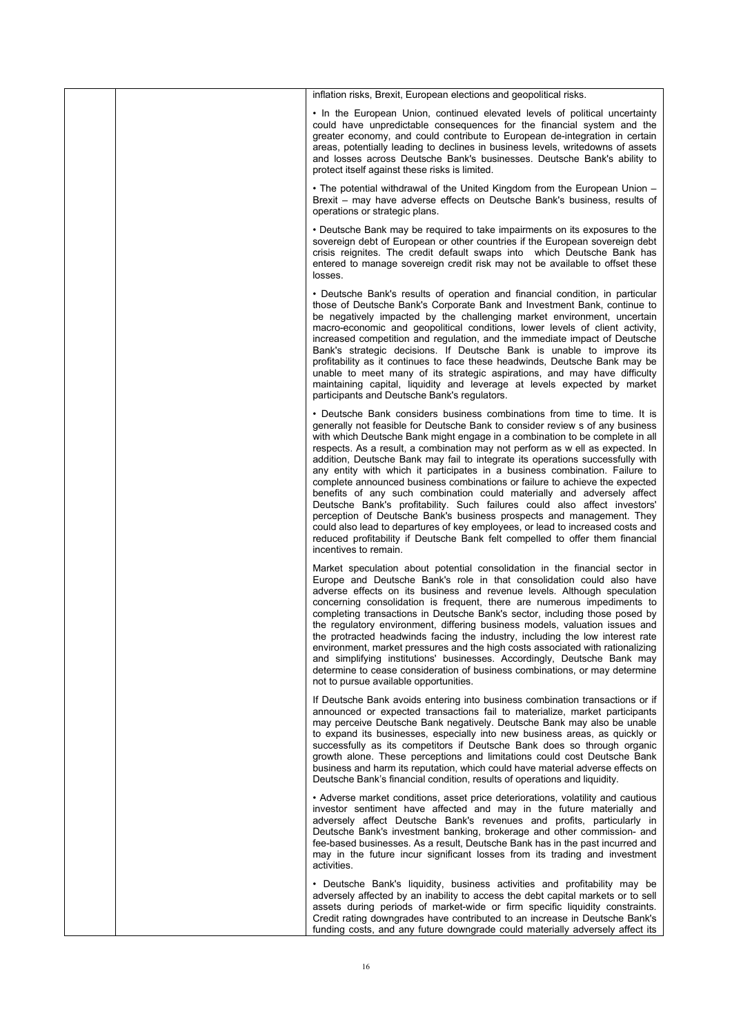|  | inflation risks, Brexit, European elections and geopolitical risks.                                                                                                                                                                                                                                                                                                                                                                                                                                                                                                                                                                                                                                                                                                                                                                                                                                                                                                                                    |
|--|--------------------------------------------------------------------------------------------------------------------------------------------------------------------------------------------------------------------------------------------------------------------------------------------------------------------------------------------------------------------------------------------------------------------------------------------------------------------------------------------------------------------------------------------------------------------------------------------------------------------------------------------------------------------------------------------------------------------------------------------------------------------------------------------------------------------------------------------------------------------------------------------------------------------------------------------------------------------------------------------------------|
|  | • In the European Union, continued elevated levels of political uncertainty<br>could have unpredictable consequences for the financial system and the<br>greater economy, and could contribute to European de-integration in certain<br>areas, potentially leading to declines in business levels, writedowns of assets<br>and losses across Deutsche Bank's businesses. Deutsche Bank's ability to<br>protect itself against these risks is limited.                                                                                                                                                                                                                                                                                                                                                                                                                                                                                                                                                  |
|  | • The potential withdrawal of the United Kingdom from the European Union -<br>Brexit – may have adverse effects on Deutsche Bank's business, results of<br>operations or strategic plans.                                                                                                                                                                                                                                                                                                                                                                                                                                                                                                                                                                                                                                                                                                                                                                                                              |
|  | • Deutsche Bank may be required to take impairments on its exposures to the<br>sovereign debt of European or other countries if the European sovereign debt<br>crisis reignites. The credit default swaps into which Deutsche Bank has<br>entered to manage sovereign credit risk may not be available to offset these<br>losses.                                                                                                                                                                                                                                                                                                                                                                                                                                                                                                                                                                                                                                                                      |
|  | • Deutsche Bank's results of operation and financial condition, in particular<br>those of Deutsche Bank's Corporate Bank and Investment Bank, continue to<br>be negatively impacted by the challenging market environment, uncertain<br>macro-economic and geopolitical conditions, lower levels of client activity,<br>increased competition and regulation, and the immediate impact of Deutsche<br>Bank's strategic decisions. If Deutsche Bank is unable to improve its<br>profitability as it continues to face these headwinds, Deutsche Bank may be<br>unable to meet many of its strategic aspirations, and may have difficulty<br>maintaining capital, liquidity and leverage at levels expected by market<br>participants and Deutsche Bank's regulators.                                                                                                                                                                                                                                    |
|  | • Deutsche Bank considers business combinations from time to time. It is<br>generally not feasible for Deutsche Bank to consider review s of any business<br>with which Deutsche Bank might engage in a combination to be complete in all<br>respects. As a result, a combination may not perform as w ell as expected. In<br>addition, Deutsche Bank may fail to integrate its operations successfully with<br>any entity with which it participates in a business combination. Failure to<br>complete announced business combinations or failure to achieve the expected<br>benefits of any such combination could materially and adversely affect<br>Deutsche Bank's profitability. Such failures could also affect investors'<br>perception of Deutsche Bank's business prospects and management. They<br>could also lead to departures of key employees, or lead to increased costs and<br>reduced profitability if Deutsche Bank felt compelled to offer them financial<br>incentives to remain. |
|  | Market speculation about potential consolidation in the financial sector in<br>Europe and Deutsche Bank's role in that consolidation could also have<br>adverse effects on its business and revenue levels. Although speculation<br>concerning consolidation is frequent, there are numerous impediments to<br>completing transactions in Deutsche Bank's sector, including those posed by<br>the regulatory environment, differing business models, valuation issues and<br>the protracted headwinds facing the industry, including the low interest rate<br>environment, market pressures and the high costs associated with rationalizing<br>and simplifying institutions' businesses. Accordingly, Deutsche Bank may<br>determine to cease consideration of business combinations, or may determine<br>not to pursue available opportunities.                                                                                                                                                      |
|  | If Deutsche Bank avoids entering into business combination transactions or if<br>announced or expected transactions fail to materialize, market participants<br>may perceive Deutsche Bank negatively. Deutsche Bank may also be unable<br>to expand its businesses, especially into new business areas, as quickly or<br>successfully as its competitors if Deutsche Bank does so through organic<br>growth alone. These perceptions and limitations could cost Deutsche Bank<br>business and harm its reputation, which could have material adverse effects on<br>Deutsche Bank's financial condition, results of operations and liquidity.                                                                                                                                                                                                                                                                                                                                                          |
|  | • Adverse market conditions, asset price deteriorations, volatility and cautious<br>investor sentiment have affected and may in the future materially and<br>adversely affect Deutsche Bank's revenues and profits, particularly in<br>Deutsche Bank's investment banking, brokerage and other commission- and<br>fee-based businesses. As a result, Deutsche Bank has in the past incurred and<br>may in the future incur significant losses from its trading and investment<br>activities.                                                                                                                                                                                                                                                                                                                                                                                                                                                                                                           |
|  | • Deutsche Bank's liquidity, business activities and profitability may be<br>adversely affected by an inability to access the debt capital markets or to sell<br>assets during periods of market-wide or firm specific liquidity constraints.<br>Credit rating downgrades have contributed to an increase in Deutsche Bank's<br>funding costs, and any future downgrade could materially adversely affect its                                                                                                                                                                                                                                                                                                                                                                                                                                                                                                                                                                                          |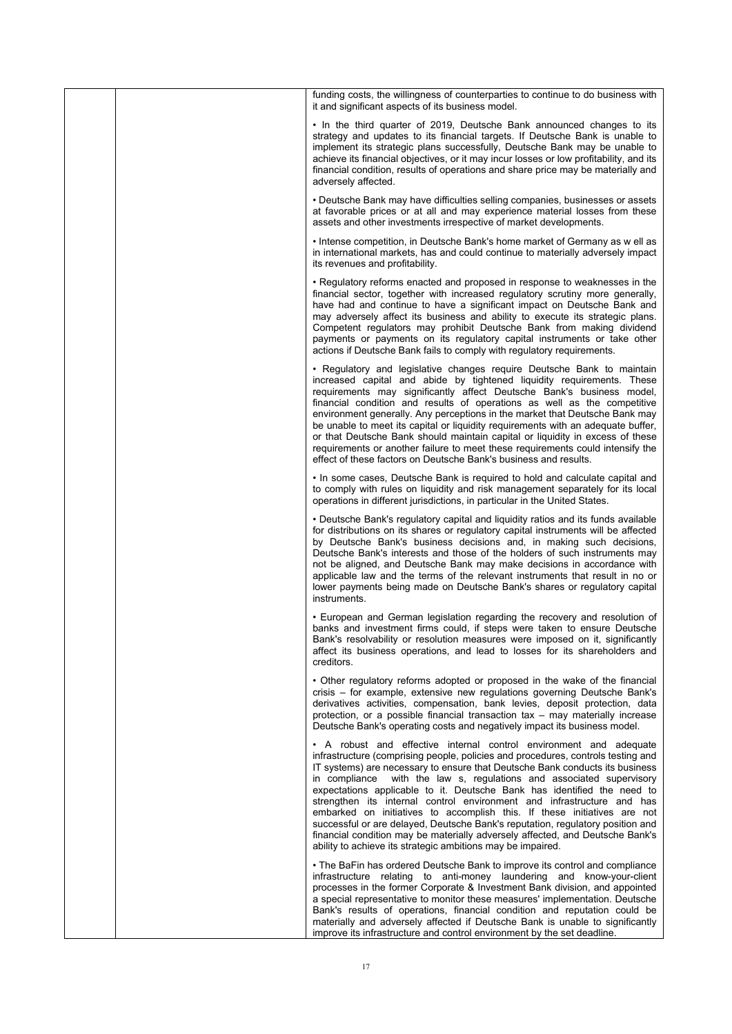|  | funding costs, the willingness of counterparties to continue to do business with<br>it and significant aspects of its business model.                                                                                                                                                                                                                                                                                                                                                                                                                                                                                                                                                                                                                                                |
|--|--------------------------------------------------------------------------------------------------------------------------------------------------------------------------------------------------------------------------------------------------------------------------------------------------------------------------------------------------------------------------------------------------------------------------------------------------------------------------------------------------------------------------------------------------------------------------------------------------------------------------------------------------------------------------------------------------------------------------------------------------------------------------------------|
|  | • In the third quarter of 2019, Deutsche Bank announced changes to its<br>strategy and updates to its financial targets. If Deutsche Bank is unable to<br>implement its strategic plans successfully, Deutsche Bank may be unable to<br>achieve its financial objectives, or it may incur losses or low profitability, and its<br>financial condition, results of operations and share price may be materially and<br>adversely affected.                                                                                                                                                                                                                                                                                                                                            |
|  | • Deutsche Bank may have difficulties selling companies, businesses or assets<br>at favorable prices or at all and may experience material losses from these<br>assets and other investments irrespective of market developments.                                                                                                                                                                                                                                                                                                                                                                                                                                                                                                                                                    |
|  | • Intense competition, in Deutsche Bank's home market of Germany as w ell as<br>in international markets, has and could continue to materially adversely impact<br>its revenues and profitability.                                                                                                                                                                                                                                                                                                                                                                                                                                                                                                                                                                                   |
|  | • Regulatory reforms enacted and proposed in response to weaknesses in the<br>financial sector, together with increased regulatory scrutiny more generally,<br>have had and continue to have a significant impact on Deutsche Bank and<br>may adversely affect its business and ability to execute its strategic plans.<br>Competent regulators may prohibit Deutsche Bank from making dividend<br>payments or payments on its regulatory capital instruments or take other<br>actions if Deutsche Bank fails to comply with regulatory requirements.                                                                                                                                                                                                                                |
|  | • Regulatory and legislative changes reguire Deutsche Bank to maintain<br>increased capital and abide by tightened liquidity requirements. These<br>requirements may significantly affect Deutsche Bank's business model,<br>financial condition and results of operations as well as the competitive<br>environment generally. Any perceptions in the market that Deutsche Bank may<br>be unable to meet its capital or liquidity requirements with an adequate buffer.<br>or that Deutsche Bank should maintain capital or liquidity in excess of these<br>requirements or another failure to meet these requirements could intensify the<br>effect of these factors on Deutsche Bank's business and results.                                                                      |
|  | . In some cases, Deutsche Bank is required to hold and calculate capital and<br>to comply with rules on liquidity and risk management separately for its local<br>operations in different jurisdictions, in particular in the United States.                                                                                                                                                                                                                                                                                                                                                                                                                                                                                                                                         |
|  | • Deutsche Bank's regulatory capital and liquidity ratios and its funds available<br>for distributions on its shares or regulatory capital instruments will be affected<br>by Deutsche Bank's business decisions and, in making such decisions,<br>Deutsche Bank's interests and those of the holders of such instruments may<br>not be aligned, and Deutsche Bank may make decisions in accordance with<br>applicable law and the terms of the relevant instruments that result in no or<br>lower payments being made on Deutsche Bank's shares or regulatory capital<br>instruments.                                                                                                                                                                                               |
|  | • European and German legislation regarding the recovery and resolution of<br>banks and investment firms could, if steps were taken to ensure Deutsche<br>Bank's resolvability or resolution measures were imposed on it, significantly<br>affect its business operations, and lead to losses for its shareholders and<br>creditors.                                                                                                                                                                                                                                                                                                                                                                                                                                                 |
|  | • Other regulatory reforms adopted or proposed in the wake of the financial<br>crisis - for example, extensive new regulations governing Deutsche Bank's<br>derivatives activities, compensation, bank levies, deposit protection, data<br>protection, or a possible financial transaction tax $-$ may materially increase<br>Deutsche Bank's operating costs and negatively impact its business model.                                                                                                                                                                                                                                                                                                                                                                              |
|  | • A robust and effective internal control environment and adequate<br>infrastructure (comprising people, policies and procedures, controls testing and<br>IT systems) are necessary to ensure that Deutsche Bank conducts its business<br>with the law s, regulations and associated supervisory<br>in compliance<br>expectations applicable to it. Deutsche Bank has identified the need to<br>strengthen its internal control environment and infrastructure and has<br>embarked on initiatives to accomplish this. If these initiatives are not<br>successful or are delayed, Deutsche Bank's reputation, regulatory position and<br>financial condition may be materially adversely affected, and Deutsche Bank's<br>ability to achieve its strategic ambitions may be impaired. |
|  | • The BaFin has ordered Deutsche Bank to improve its control and compliance<br>infrastructure relating to anti-money laundering and know-your-client<br>processes in the former Corporate & Investment Bank division, and appointed<br>a special representative to monitor these measures' implementation. Deutsche<br>Bank's results of operations, financial condition and reputation could be<br>materially and adversely affected if Deutsche Bank is unable to significantly<br>improve its infrastructure and control environment by the set deadline.                                                                                                                                                                                                                         |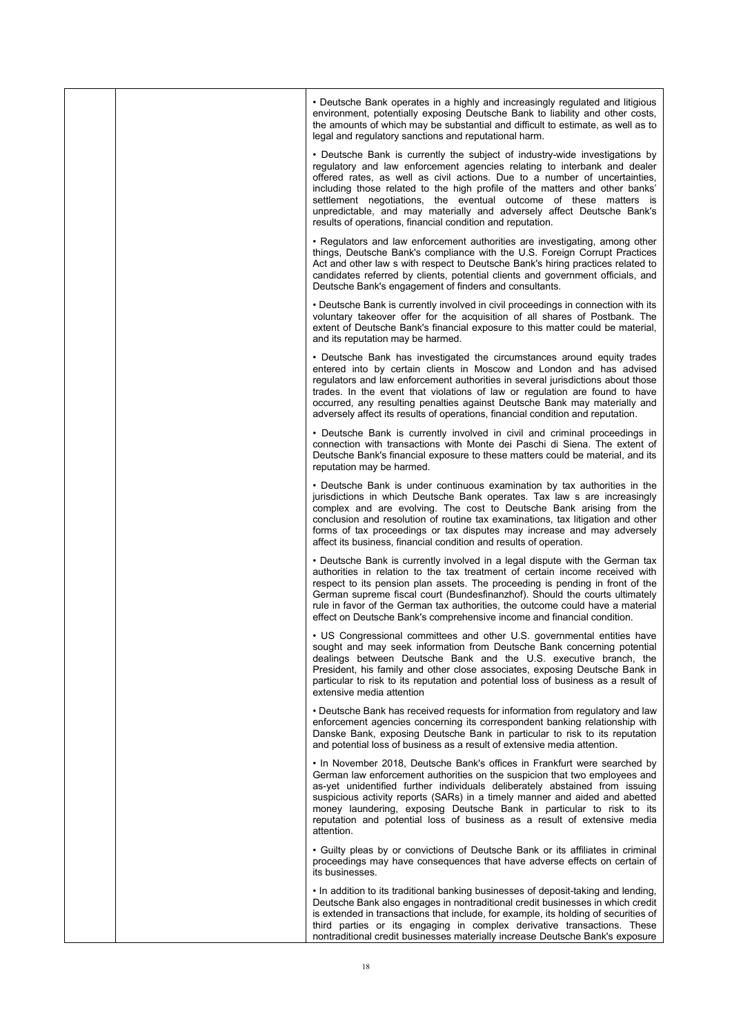|  | • Deutsche Bank operates in a highly and increasingly regulated and litigious<br>environment, potentially exposing Deutsche Bank to liability and other costs,<br>the amounts of which may be substantial and difficult to estimate, as well as to<br>legal and regulatory sanctions and reputational harm.                                                                                                                                                                                                                       |
|--|-----------------------------------------------------------------------------------------------------------------------------------------------------------------------------------------------------------------------------------------------------------------------------------------------------------------------------------------------------------------------------------------------------------------------------------------------------------------------------------------------------------------------------------|
|  | • Deutsche Bank is currently the subject of industry-wide investigations by<br>regulatory and law enforcement agencies relating to interbank and dealer<br>offered rates, as well as civil actions. Due to a number of uncertainties,<br>including those related to the high profile of the matters and other banks'<br>settlement negotiations, the eventual outcome of these matters is<br>unpredictable, and may materially and adversely affect Deutsche Bank's<br>results of operations, financial condition and reputation. |
|  | • Regulators and law enforcement authorities are investigating, among other<br>things, Deutsche Bank's compliance with the U.S. Foreign Corrupt Practices<br>Act and other law s with respect to Deutsche Bank's hiring practices related to<br>candidates referred by clients, potential clients and government officials, and<br>Deutsche Bank's engagement of finders and consultants.                                                                                                                                         |
|  | • Deutsche Bank is currently involved in civil proceedings in connection with its<br>voluntary takeover offer for the acquisition of all shares of Postbank. The<br>extent of Deutsche Bank's financial exposure to this matter could be material,<br>and its reputation may be harmed.                                                                                                                                                                                                                                           |
|  | • Deutsche Bank has investigated the circumstances around equity trades<br>entered into by certain clients in Moscow and London and has advised<br>regulators and law enforcement authorities in several jurisdictions about those<br>trades. In the event that violations of law or regulation are found to have<br>occurred, any resulting penalties against Deutsche Bank may materially and<br>adversely affect its results of operations, financial condition and reputation.                                                |
|  | • Deutsche Bank is currently involved in civil and criminal proceedings in<br>connection with transactions with Monte dei Paschi di Siena. The extent of<br>Deutsche Bank's financial exposure to these matters could be material, and its<br>reputation may be harmed.                                                                                                                                                                                                                                                           |
|  | • Deutsche Bank is under continuous examination by tax authorities in the<br>jurisdictions in which Deutsche Bank operates. Tax law s are increasingly<br>complex and are evolving. The cost to Deutsche Bank arising from the<br>conclusion and resolution of routine tax examinations, tax litigation and other<br>forms of tax proceedings or tax disputes may increase and may adversely<br>affect its business, financial condition and results of operation.                                                                |
|  | • Deutsche Bank is currently involved in a legal dispute with the German tax<br>authorities in relation to the tax treatment of certain income received with<br>respect to its pension plan assets. The proceeding is pending in front of the<br>German supreme fiscal court (Bundesfinanzhof). Should the courts ultimately<br>rule in favor of the German tax authorities, the outcome could have a material<br>effect on Deutsche Bank's comprehensive income and financial condition.                                         |
|  | • US Congressional committees and other U.S. governmental entities have<br>sought and may seek information from Deutsche Bank concerning potential<br>dealings between Deutsche Bank and the U.S. executive branch, the<br>President, his family and other close associates, exposing Deutsche Bank in<br>particular to risk to its reputation and potential loss of business as a result of<br>extensive media attention                                                                                                         |
|  | • Deutsche Bank has received requests for information from regulatory and law<br>enforcement agencies concerning its correspondent banking relationship with<br>Danske Bank, exposing Deutsche Bank in particular to risk to its reputation<br>and potential loss of business as a result of extensive media attention.                                                                                                                                                                                                           |
|  | • In November 2018, Deutsche Bank's offices in Frankfurt were searched by<br>German law enforcement authorities on the suspicion that two employees and<br>as-yet unidentified further individuals deliberately abstained from issuing<br>suspicious activity reports (SARs) in a timely manner and aided and abetted<br>money laundering, exposing Deutsche Bank in particular to risk to its<br>reputation and potential loss of business as a result of extensive media<br>attention.                                          |
|  | • Guilty pleas by or convictions of Deutsche Bank or its affiliates in criminal<br>proceedings may have consequences that have adverse effects on certain of<br>its businesses.                                                                                                                                                                                                                                                                                                                                                   |
|  | • In addition to its traditional banking businesses of deposit-taking and lending,<br>Deutsche Bank also engages in nontraditional credit businesses in which credit<br>is extended in transactions that include, for example, its holding of securities of<br>third parties or its engaging in complex derivative transactions. These<br>nontraditional credit businesses materially increase Deutsche Bank's exposure                                                                                                           |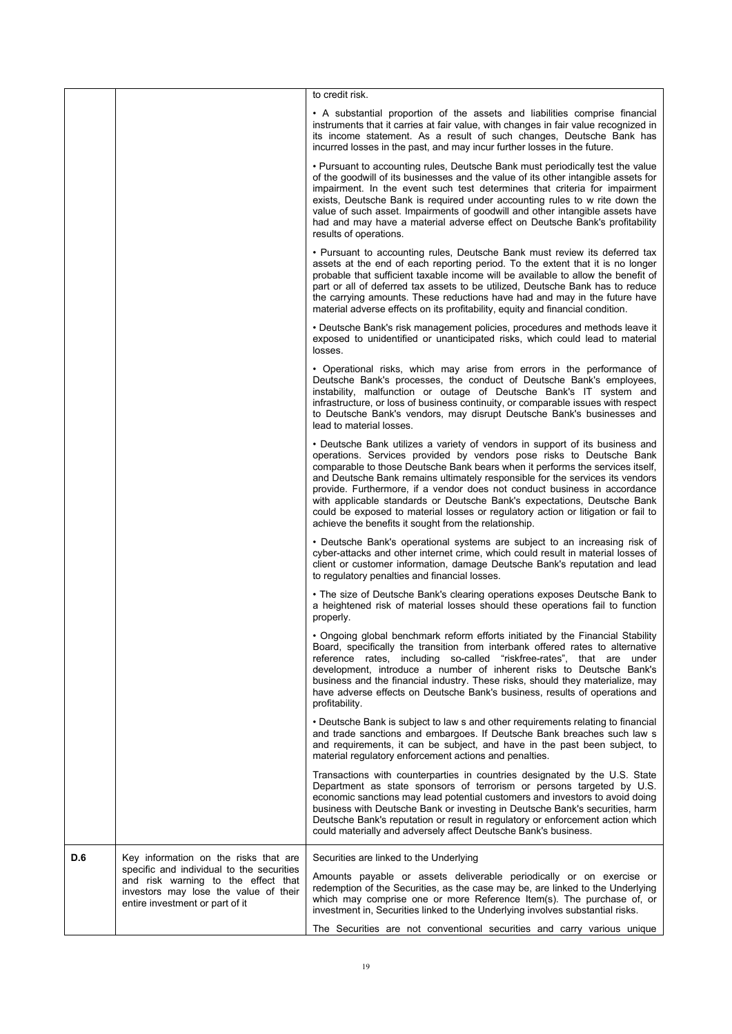|     |                                                                                                                                                              | to credit risk.                                                                                                                                                                                                                                                                                                                                                                                                                                                                                                                                                                                                               |
|-----|--------------------------------------------------------------------------------------------------------------------------------------------------------------|-------------------------------------------------------------------------------------------------------------------------------------------------------------------------------------------------------------------------------------------------------------------------------------------------------------------------------------------------------------------------------------------------------------------------------------------------------------------------------------------------------------------------------------------------------------------------------------------------------------------------------|
|     |                                                                                                                                                              | • A substantial proportion of the assets and liabilities comprise financial<br>instruments that it carries at fair value, with changes in fair value recognized in<br>its income statement. As a result of such changes, Deutsche Bank has<br>incurred losses in the past, and may incur further losses in the future.                                                                                                                                                                                                                                                                                                        |
|     |                                                                                                                                                              | • Pursuant to accounting rules, Deutsche Bank must periodically test the value<br>of the goodwill of its businesses and the value of its other intangible assets for<br>impairment. In the event such test determines that criteria for impairment<br>exists, Deutsche Bank is required under accounting rules to w rite down the<br>value of such asset. Impairments of goodwill and other intangible assets have<br>had and may have a material adverse effect on Deutsche Bank's profitability<br>results of operations.                                                                                                   |
|     |                                                                                                                                                              | • Pursuant to accounting rules, Deutsche Bank must review its deferred tax<br>assets at the end of each reporting period. To the extent that it is no longer<br>probable that sufficient taxable income will be available to allow the benefit of<br>part or all of deferred tax assets to be utilized, Deutsche Bank has to reduce<br>the carrying amounts. These reductions have had and may in the future have<br>material adverse effects on its profitability, equity and financial condition.                                                                                                                           |
|     |                                                                                                                                                              | • Deutsche Bank's risk management policies, procedures and methods leave it<br>exposed to unidentified or unanticipated risks, which could lead to material<br>losses.                                                                                                                                                                                                                                                                                                                                                                                                                                                        |
|     |                                                                                                                                                              | • Operational risks, which may arise from errors in the performance of<br>Deutsche Bank's processes, the conduct of Deutsche Bank's employees,<br>instability, malfunction or outage of Deutsche Bank's IT system and<br>infrastructure, or loss of business continuity, or comparable issues with respect<br>to Deutsche Bank's vendors, may disrupt Deutsche Bank's businesses and<br>lead to material losses.                                                                                                                                                                                                              |
|     |                                                                                                                                                              | • Deutsche Bank utilizes a variety of vendors in support of its business and<br>operations. Services provided by vendors pose risks to Deutsche Bank<br>comparable to those Deutsche Bank bears when it performs the services itself,<br>and Deutsche Bank remains ultimately responsible for the services its vendors<br>provide. Furthermore, if a vendor does not conduct business in accordance<br>with applicable standards or Deutsche Bank's expectations, Deutsche Bank<br>could be exposed to material losses or regulatory action or litigation or fail to<br>achieve the benefits it sought from the relationship. |
|     |                                                                                                                                                              | • Deutsche Bank's operational systems are subject to an increasing risk of<br>cyber-attacks and other internet crime, which could result in material losses of<br>client or customer information, damage Deutsche Bank's reputation and lead<br>to regulatory penalties and financial losses.                                                                                                                                                                                                                                                                                                                                 |
|     |                                                                                                                                                              | • The size of Deutsche Bank's clearing operations exposes Deutsche Bank to<br>a heightened risk of material losses should these operations fail to function<br>properly.                                                                                                                                                                                                                                                                                                                                                                                                                                                      |
|     |                                                                                                                                                              | . Ongoing global benchmark reform efforts initiated by the Financial Stability<br>Board, specifically the transition from interbank offered rates to alternative<br>reference rates, including so-called "riskfree-rates", that are under<br>development, introduce a number of inherent risks to Deutsche Bank's<br>business and the financial industry. These risks, should they materialize, may<br>have adverse effects on Deutsche Bank's business, results of operations and<br>profitability.                                                                                                                          |
|     |                                                                                                                                                              | • Deutsche Bank is subject to law s and other requirements relating to financial<br>and trade sanctions and embargoes. If Deutsche Bank breaches such law s<br>and requirements, it can be subject, and have in the past been subject, to<br>material regulatory enforcement actions and penalties.                                                                                                                                                                                                                                                                                                                           |
|     |                                                                                                                                                              | Transactions with counterparties in countries designated by the U.S. State<br>Department as state sponsors of terrorism or persons targeted by U.S.<br>economic sanctions may lead potential customers and investors to avoid doing<br>business with Deutsche Bank or investing in Deutsche Bank's securities, harm<br>Deutsche Bank's reputation or result in regulatory or enforcement action which<br>could materially and adversely affect Deutsche Bank's business.                                                                                                                                                      |
| D.6 | Key information on the risks that are                                                                                                                        | Securities are linked to the Underlying                                                                                                                                                                                                                                                                                                                                                                                                                                                                                                                                                                                       |
|     | specific and individual to the securities<br>and risk warning to the effect that<br>investors may lose the value of their<br>entire investment or part of it | Amounts payable or assets deliverable periodically or on exercise or<br>redemption of the Securities, as the case may be, are linked to the Underlying<br>which may comprise one or more Reference Item(s). The purchase of, or<br>investment in, Securities linked to the Underlying involves substantial risks.                                                                                                                                                                                                                                                                                                             |
|     |                                                                                                                                                              | The Securities are not conventional securities and carry various unique                                                                                                                                                                                                                                                                                                                                                                                                                                                                                                                                                       |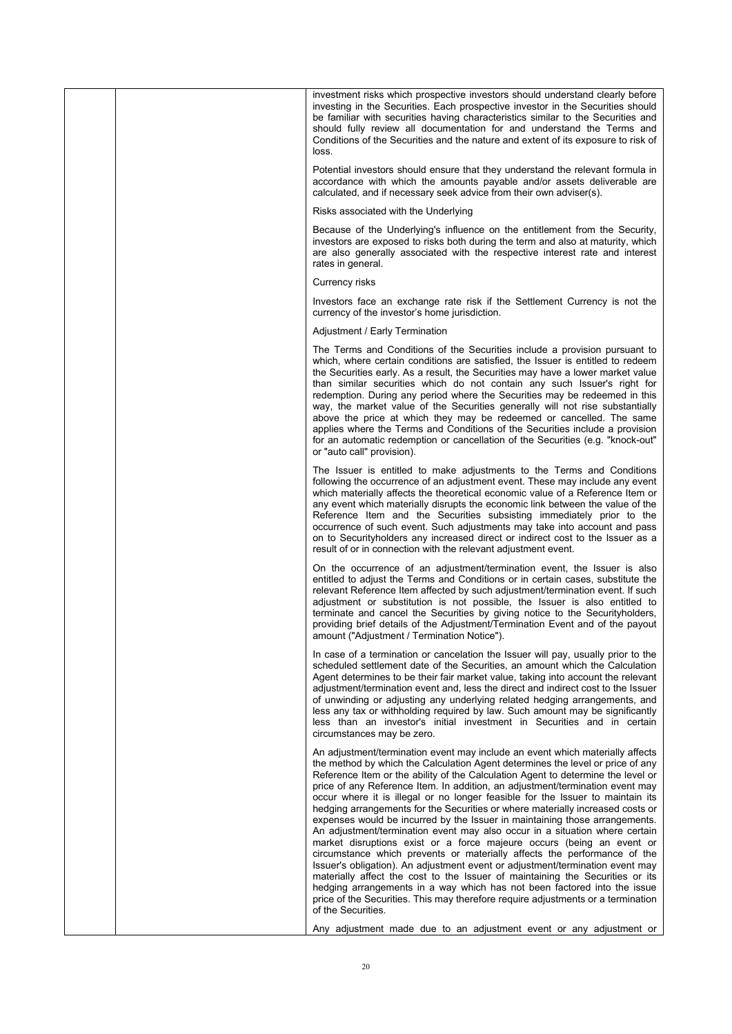|  | investment risks which prospective investors should understand clearly before<br>investing in the Securities. Each prospective investor in the Securities should<br>be familiar with securities having characteristics similar to the Securities and<br>should fully review all documentation for and understand the Terms and<br>Conditions of the Securities and the nature and extent of its exposure to risk of<br>loss.                                                                                                                                                                                                                                                                                                                                                                                                                                                                                                                                                                                                                                                                                                                                                        |
|--|-------------------------------------------------------------------------------------------------------------------------------------------------------------------------------------------------------------------------------------------------------------------------------------------------------------------------------------------------------------------------------------------------------------------------------------------------------------------------------------------------------------------------------------------------------------------------------------------------------------------------------------------------------------------------------------------------------------------------------------------------------------------------------------------------------------------------------------------------------------------------------------------------------------------------------------------------------------------------------------------------------------------------------------------------------------------------------------------------------------------------------------------------------------------------------------|
|  | Potential investors should ensure that they understand the relevant formula in<br>accordance with which the amounts payable and/or assets deliverable are<br>calculated, and if necessary seek advice from their own adviser(s).                                                                                                                                                                                                                                                                                                                                                                                                                                                                                                                                                                                                                                                                                                                                                                                                                                                                                                                                                    |
|  | Risks associated with the Underlying                                                                                                                                                                                                                                                                                                                                                                                                                                                                                                                                                                                                                                                                                                                                                                                                                                                                                                                                                                                                                                                                                                                                                |
|  | Because of the Underlying's influence on the entitlement from the Security,<br>investors are exposed to risks both during the term and also at maturity, which<br>are also generally associated with the respective interest rate and interest<br>rates in general.                                                                                                                                                                                                                                                                                                                                                                                                                                                                                                                                                                                                                                                                                                                                                                                                                                                                                                                 |
|  | Currency risks                                                                                                                                                                                                                                                                                                                                                                                                                                                                                                                                                                                                                                                                                                                                                                                                                                                                                                                                                                                                                                                                                                                                                                      |
|  | Investors face an exchange rate risk if the Settlement Currency is not the<br>currency of the investor's home jurisdiction.                                                                                                                                                                                                                                                                                                                                                                                                                                                                                                                                                                                                                                                                                                                                                                                                                                                                                                                                                                                                                                                         |
|  | Adjustment / Early Termination                                                                                                                                                                                                                                                                                                                                                                                                                                                                                                                                                                                                                                                                                                                                                                                                                                                                                                                                                                                                                                                                                                                                                      |
|  | The Terms and Conditions of the Securities include a provision pursuant to<br>which, where certain conditions are satisfied, the Issuer is entitled to redeem<br>the Securities early. As a result, the Securities may have a lower market value<br>than similar securities which do not contain any such Issuer's right for<br>redemption. During any period where the Securities may be redeemed in this<br>way, the market value of the Securities generally will not rise substantially<br>above the price at which they may be redeemed or cancelled. The same<br>applies where the Terms and Conditions of the Securities include a provision<br>for an automatic redemption or cancellation of the Securities (e.g. "knock-out"<br>or "auto call" provision).                                                                                                                                                                                                                                                                                                                                                                                                                |
|  | The Issuer is entitled to make adjustments to the Terms and Conditions<br>following the occurrence of an adjustment event. These may include any event<br>which materially affects the theoretical economic value of a Reference Item or<br>any event which materially disrupts the economic link between the value of the<br>Reference Item and the Securities subsisting immediately prior to the<br>occurrence of such event. Such adjustments may take into account and pass<br>on to Securityholders any increased direct or indirect cost to the Issuer as a<br>result of or in connection with the relevant adjustment event.                                                                                                                                                                                                                                                                                                                                                                                                                                                                                                                                                |
|  | On the occurrence of an adjustment/termination event, the Issuer is also<br>entitled to adjust the Terms and Conditions or in certain cases, substitute the<br>relevant Reference Item affected by such adjustment/termination event. If such<br>adjustment or substitution is not possible, the Issuer is also entitled to<br>terminate and cancel the Securities by giving notice to the Securityholders,<br>providing brief details of the Adjustment/Termination Event and of the payout<br>amount ("Adjustment / Termination Notice").                                                                                                                                                                                                                                                                                                                                                                                                                                                                                                                                                                                                                                         |
|  | In case of a termination or cancelation the Issuer will pay, usually prior to the<br>scheduled settlement date of the Securities, an amount which the Calculation<br>Agent determines to be their fair market value, taking into account the relevant<br>adjustment/termination event and, less the direct and indirect cost to the Issuer<br>of unwinding or adjusting any underlying related hedging arrangements, and<br>less any tax or withholding required by law. Such amount may be significantly<br>less than an investor's initial investment in Securities and in certain<br>circumstances may be zero.                                                                                                                                                                                                                                                                                                                                                                                                                                                                                                                                                                  |
|  | An adjustment/termination event may include an event which materially affects<br>the method by which the Calculation Agent determines the level or price of any<br>Reference Item or the ability of the Calculation Agent to determine the level or<br>price of any Reference Item. In addition, an adjustment/termination event may<br>occur where it is illegal or no longer feasible for the Issuer to maintain its<br>hedging arrangements for the Securities or where materially increased costs or<br>expenses would be incurred by the Issuer in maintaining those arrangements.<br>An adjustment/termination event may also occur in a situation where certain<br>market disruptions exist or a force majeure occurs (being an event or<br>circumstance which prevents or materially affects the performance of the<br>Issuer's obligation). An adjustment event or adjustment/termination event may<br>materially affect the cost to the Issuer of maintaining the Securities or its<br>hedging arrangements in a way which has not been factored into the issue<br>price of the Securities. This may therefore require adjustments or a termination<br>of the Securities. |
|  | Any adjustment made due to an adjustment event or any adjustment or                                                                                                                                                                                                                                                                                                                                                                                                                                                                                                                                                                                                                                                                                                                                                                                                                                                                                                                                                                                                                                                                                                                 |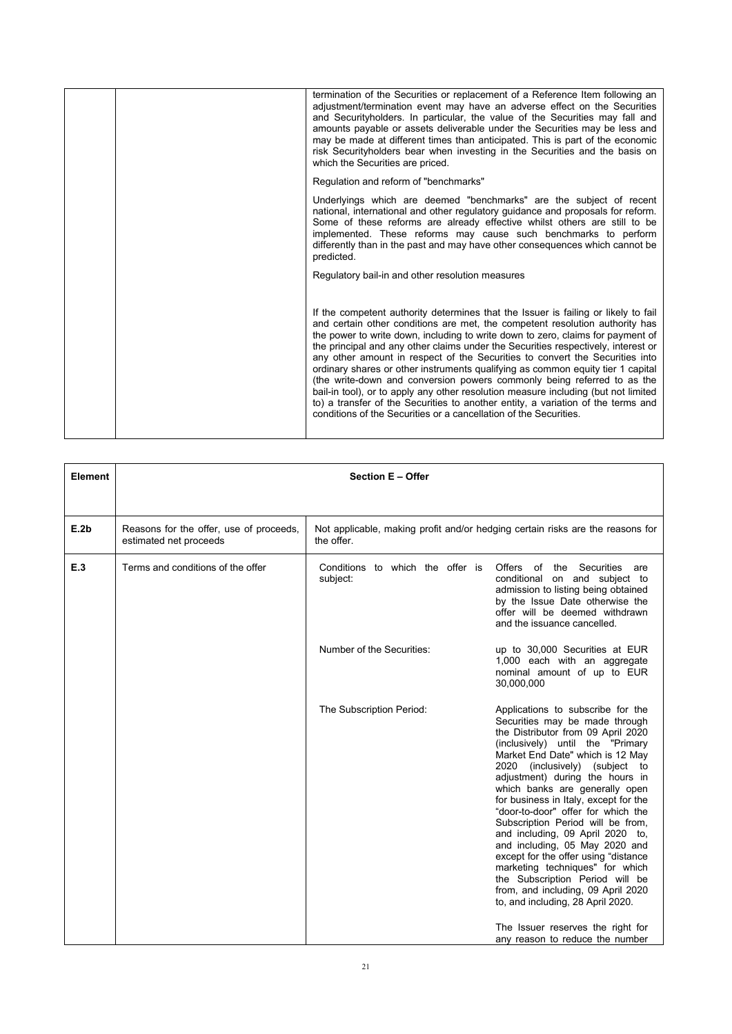|  | termination of the Securities or replacement of a Reference Item following an<br>adjustment/termination event may have an adverse effect on the Securities<br>and Securityholders. In particular, the value of the Securities may fall and<br>amounts payable or assets deliverable under the Securities may be less and<br>may be made at different times than anticipated. This is part of the economic<br>risk Securityholders bear when investing in the Securities and the basis on<br>which the Securities are priced.                                                                                                                                                                                                                                                                                                            |
|--|-----------------------------------------------------------------------------------------------------------------------------------------------------------------------------------------------------------------------------------------------------------------------------------------------------------------------------------------------------------------------------------------------------------------------------------------------------------------------------------------------------------------------------------------------------------------------------------------------------------------------------------------------------------------------------------------------------------------------------------------------------------------------------------------------------------------------------------------|
|  | Regulation and reform of "benchmarks"                                                                                                                                                                                                                                                                                                                                                                                                                                                                                                                                                                                                                                                                                                                                                                                                   |
|  | Underlyings which are deemed "benchmarks" are the subject of recent<br>national, international and other regulatory guidance and proposals for reform.<br>Some of these reforms are already effective whilst others are still to be<br>implemented. These reforms may cause such benchmarks to perform<br>differently than in the past and may have other consequences which cannot be<br>predicted.                                                                                                                                                                                                                                                                                                                                                                                                                                    |
|  | Regulatory bail-in and other resolution measures                                                                                                                                                                                                                                                                                                                                                                                                                                                                                                                                                                                                                                                                                                                                                                                        |
|  | If the competent authority determines that the Issuer is failing or likely to fail<br>and certain other conditions are met, the competent resolution authority has<br>the power to write down, including to write down to zero, claims for payment of<br>the principal and any other claims under the Securities respectively, interest or<br>any other amount in respect of the Securities to convert the Securities into<br>ordinary shares or other instruments qualifying as common equity tier 1 capital<br>(the write-down and conversion powers commonly being referred to as the<br>bail-in tool), or to apply any other resolution measure including (but not limited<br>to) a transfer of the Securities to another entity, a variation of the terms and<br>conditions of the Securities or a cancellation of the Securities. |

| Element | <b>Section E - Offer</b>                                          |                                                                                              |                                                                                                                                                                                                                                                                                                                                                                                                                                                                                                                                                                                                                                                                             |
|---------|-------------------------------------------------------------------|----------------------------------------------------------------------------------------------|-----------------------------------------------------------------------------------------------------------------------------------------------------------------------------------------------------------------------------------------------------------------------------------------------------------------------------------------------------------------------------------------------------------------------------------------------------------------------------------------------------------------------------------------------------------------------------------------------------------------------------------------------------------------------------|
|         |                                                                   |                                                                                              |                                                                                                                                                                                                                                                                                                                                                                                                                                                                                                                                                                                                                                                                             |
| E.2b    | Reasons for the offer, use of proceeds,<br>estimated net proceeds | Not applicable, making profit and/or hedging certain risks are the reasons for<br>the offer. |                                                                                                                                                                                                                                                                                                                                                                                                                                                                                                                                                                                                                                                                             |
| E.3     | Terms and conditions of the offer                                 | Conditions to which the offer is<br>subject:                                                 | Offers of the<br>Securities<br>are<br>conditional on and subject to<br>admission to listing being obtained<br>by the Issue Date otherwise the<br>offer will be deemed withdrawn<br>and the issuance cancelled.                                                                                                                                                                                                                                                                                                                                                                                                                                                              |
|         |                                                                   | Number of the Securities:                                                                    | up to 30,000 Securities at EUR<br>1,000 each with an aggregate<br>nominal amount of up to EUR<br>30,000,000                                                                                                                                                                                                                                                                                                                                                                                                                                                                                                                                                                 |
|         |                                                                   | The Subscription Period:                                                                     | Applications to subscribe for the<br>Securities may be made through<br>the Distributor from 09 April 2020<br>(inclusively) until the "Primary<br>Market End Date" which is 12 May<br>2020 (inclusively) (subject to<br>adjustment) during the hours in<br>which banks are generally open<br>for business in Italy, except for the<br>"door-to-door" offer for which the<br>Subscription Period will be from,<br>and including, 09 April 2020 to,<br>and including, 05 May 2020 and<br>except for the offer using "distance<br>marketing techniques" for which<br>the Subscription Period will be<br>from, and including, 09 April 2020<br>to, and including, 28 April 2020. |
|         |                                                                   |                                                                                              | The Issuer reserves the right for<br>any reason to reduce the number                                                                                                                                                                                                                                                                                                                                                                                                                                                                                                                                                                                                        |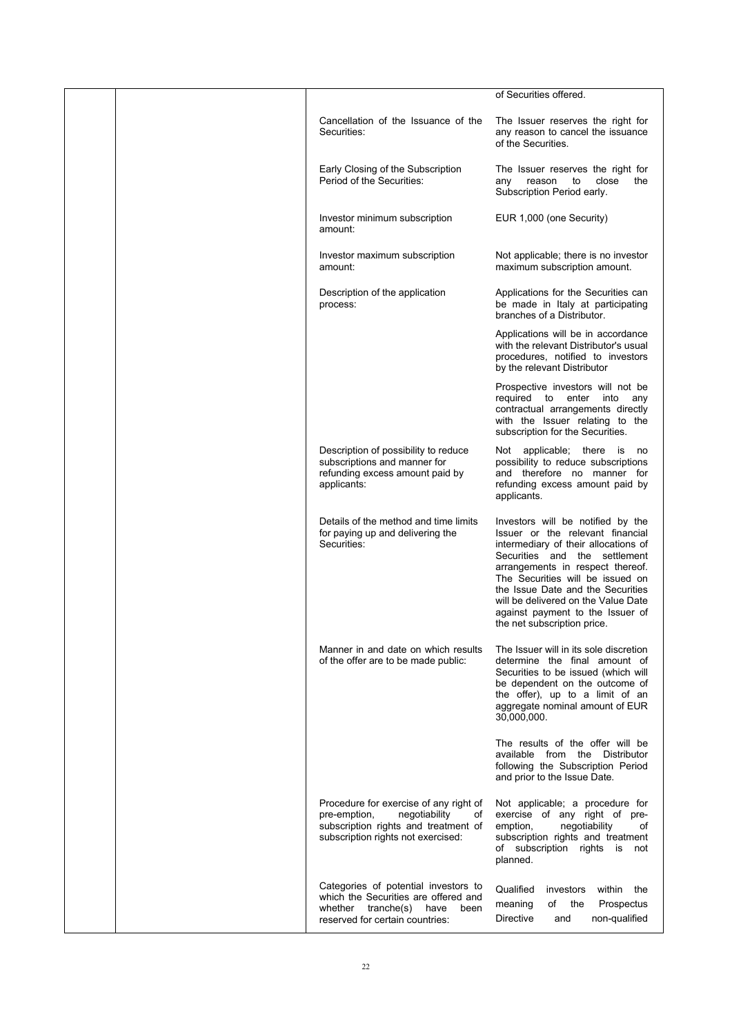|  |                                                                                                                                                             | of Securities offered.                                                                                                                                                                                                                                                                                                                                                |
|--|-------------------------------------------------------------------------------------------------------------------------------------------------------------|-----------------------------------------------------------------------------------------------------------------------------------------------------------------------------------------------------------------------------------------------------------------------------------------------------------------------------------------------------------------------|
|  | Cancellation of the Issuance of the<br>Securities:                                                                                                          | The Issuer reserves the right for<br>any reason to cancel the issuance<br>of the Securities.                                                                                                                                                                                                                                                                          |
|  | Early Closing of the Subscription<br>Period of the Securities:                                                                                              | The Issuer reserves the right for<br>reason<br>to<br>close<br>the<br>any<br>Subscription Period early.                                                                                                                                                                                                                                                                |
|  | Investor minimum subscription<br>amount:                                                                                                                    | EUR 1,000 (one Security)                                                                                                                                                                                                                                                                                                                                              |
|  | Investor maximum subscription<br>amount:                                                                                                                    | Not applicable; there is no investor<br>maximum subscription amount.                                                                                                                                                                                                                                                                                                  |
|  | Description of the application<br>process:                                                                                                                  | Applications for the Securities can<br>be made in Italy at participating<br>branches of a Distributor.                                                                                                                                                                                                                                                                |
|  |                                                                                                                                                             | Applications will be in accordance<br>with the relevant Distributor's usual<br>procedures, notified to investors<br>by the relevant Distributor                                                                                                                                                                                                                       |
|  |                                                                                                                                                             | Prospective investors will not be<br>required to enter into<br>any<br>contractual arrangements directly<br>with the Issuer relating to the<br>subscription for the Securities.                                                                                                                                                                                        |
|  | Description of possibility to reduce<br>subscriptions and manner for<br>refunding excess amount paid by<br>applicants:                                      | Not applicable; there is<br>no<br>possibility to reduce subscriptions<br>and therefore no manner for<br>refunding excess amount paid by<br>applicants.                                                                                                                                                                                                                |
|  | Details of the method and time limits<br>for paying up and delivering the<br>Securities:                                                                    | Investors will be notified by the<br>Issuer or the relevant financial<br>intermediary of their allocations of<br>Securities and the settlement<br>arrangements in respect thereof.<br>The Securities will be issued on<br>the Issue Date and the Securities<br>will be delivered on the Value Date<br>against payment to the Issuer of<br>the net subscription price. |
|  | Manner in and date on which results<br>of the offer are to be made public:                                                                                  | The Issuer will in its sole discretion<br>determine the final amount of<br>Securities to be issued (which will<br>be dependent on the outcome of<br>the offer), up to a limit of an<br>aggregate nominal amount of EUR<br>30,000,000.                                                                                                                                 |
|  |                                                                                                                                                             | The results of the offer will be<br>available from the Distributor<br>following the Subscription Period<br>and prior to the Issue Date.                                                                                                                                                                                                                               |
|  | Procedure for exercise of any right of<br>negotiability<br>pre-emption,<br>of<br>subscription rights and treatment of<br>subscription rights not exercised: | Not applicable; a procedure for<br>exercise of any right of pre-<br>emption,<br>negotiability<br>of<br>subscription rights and treatment<br>of subscription rights is not<br>planned.                                                                                                                                                                                 |
|  | Categories of potential investors to<br>which the Securities are offered and<br>whether tranche(s) have<br>been<br>reserved for certain countries:          | Qualified<br>investors<br>within the<br>meaning<br>of<br>the<br>Prospectus<br>Directive<br>non-qualified<br>and                                                                                                                                                                                                                                                       |